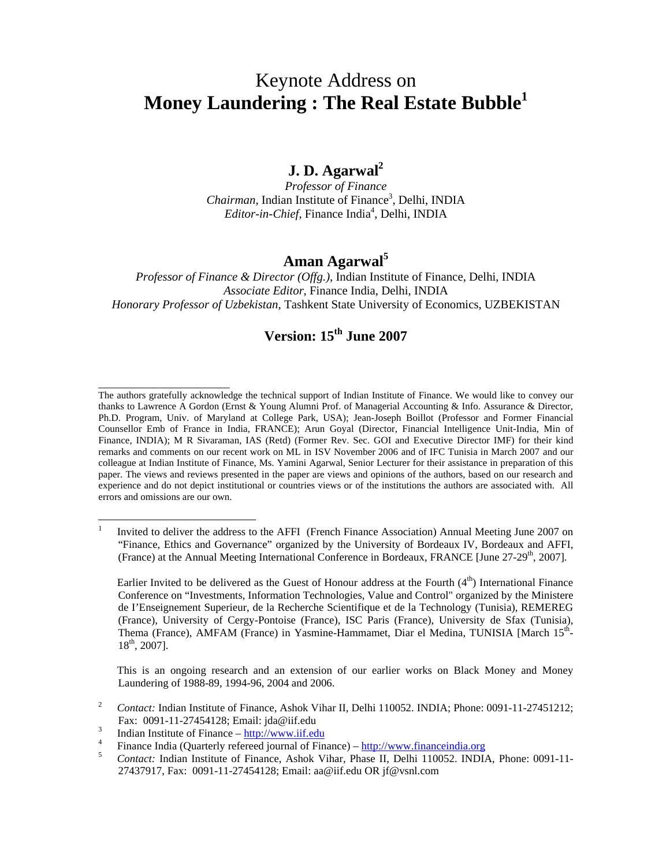# Keynote Address on **Money Laundering : The Real Estate Bubble<sup>1</sup>**

# **J. D. Agarwal<sup>2</sup>**

*Professor of Finance* Chairman, Indian Institute of Finance<sup>3</sup>, Delhi, INDIA Editor-in-Chief, Finance India<sup>4</sup>, Delhi, INDIA

# **Aman Agarwal<sup>5</sup>**

*Professor of Finance & Director (Offg.)*, Indian Institute of Finance, Delhi, INDIA *Associate Editor*, Finance India, Delhi, INDIA *Honorary Professor of Uzbekistan*, Tashkent State University of Economics, UZBEKISTAN

# **Version: 15th June 2007**

The authors gratefully acknowledge the technical support of Indian Institute of Finance. We would like to convey our thanks to Lawrence A Gordon (Ernst & Young Alumni Prof. of Managerial Accounting & Info. Assurance & Director, Ph.D. Program, Univ. of Maryland at College Park, USA); Jean-Joseph Boillot (Professor and Former Financial Counsellor Emb of France in India, FRANCE); Arun Goyal (Director, Financial Intelligence Unit-India, Min of Finance, INDIA); M R Sivaraman, IAS (Retd) (Former Rev. Sec. GOI and Executive Director IMF) for their kind remarks and comments on our recent work on ML in ISV November 2006 and of IFC Tunisia in March 2007 and our colleague at Indian Institute of Finance, Ms. Yamini Agarwal, Senior Lecturer for their assistance in preparation of this paper. The views and reviews presented in the paper are views and opinions of the authors, based on our research and experience and do not depict institutional or countries views or of the institutions the authors are associated with. All errors and omissions are our own.

Earlier Invited to be delivered as the Guest of Honour address at the Fourth  $(4<sup>th</sup>)$  International Finance Conference on "Investments, Information Technologies, Value and Control" organized by the Ministere de I'Enseignement Superieur, de la Recherche Scientifique et de la Technology (Tunisia), REMEREG (France), University of Cergy-Pontoise (France), ISC Paris (France), University de Sfax (Tunisia), Thema (France), AMFAM (France) in Yasmine-Hammamet, Diar el Medina, TUNISIA [March 15<sup>th</sup>-18th, 2007].

This is an ongoing research and an extension of our earlier works on Black Money and Money Laundering of 1988-89, 1994-96, 2004 and 2006.

<sup>2</sup> *Contact:* Indian Institute of Finance, Ashok Vihar II, Delhi 110052. INDIA; Phone: 0091-11-27451212; Fax: 0091-11-27454128; Email: jda@iif.edu

\_\_\_\_\_\_\_\_\_\_\_\_\_\_\_\_\_\_\_\_\_\_\_\_

 $\frac{1}{1}$ Invited to deliver the address to the AFFI (French Finance Association) Annual Meeting June 2007 on "Finance, Ethics and Governance" organized by the University of Bordeaux IV, Bordeaux and AFFI, (France) at the Annual Meeting International Conference in Bordeaux, FRANCE [June  $27-29<sup>th</sup>$ , 2007].

<sup>3</sup> Indian Institute of Finance – http://www.iif.edu

<sup>4</sup> Finance India (Quarterly refereed journal of Finance) – http://www.financeindia.org

<sup>&</sup>lt;sup>5</sup> *Contact:* Indian Institute of Finance, Ashok Vihar, Phase II, Delhi 110052. INDIA, Phone: 0091-11-27437917, Fax: 0091-11-27454128; Email: aa@iif.edu OR jf@vsnl.com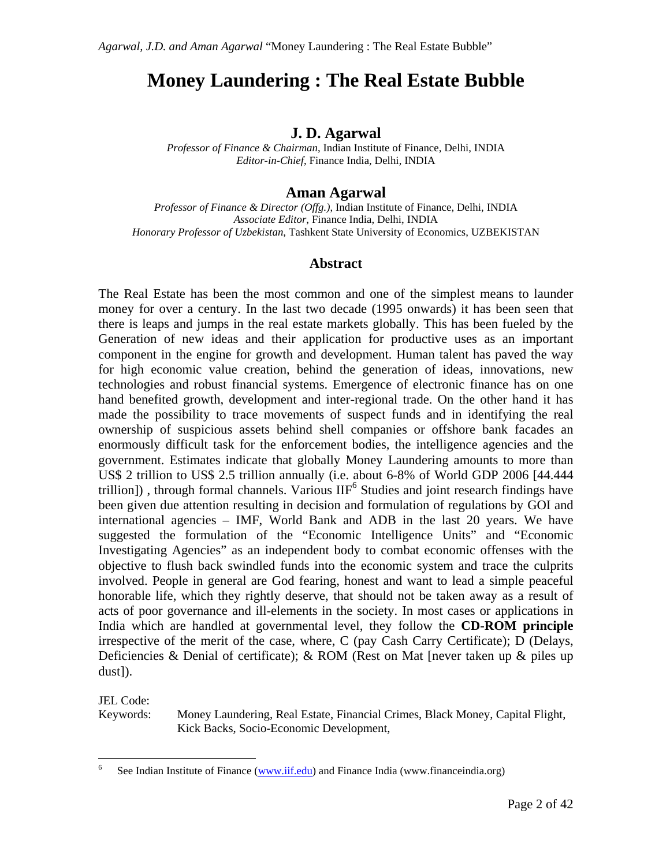# **Money Laundering : The Real Estate Bubble**

## **J. D. Agarwal**

*Professor of Finance & Chairman*, Indian Institute of Finance, Delhi, INDIA *Editor-in-Chief*, Finance India, Delhi, INDIA

## **Aman Agarwal**

*Professor of Finance & Director (Offg.)*, Indian Institute of Finance, Delhi, INDIA *Associate Editor*, Finance India, Delhi, INDIA *Honorary Professor of Uzbekistan*, Tashkent State University of Economics, UZBEKISTAN

### **Abstract**

The Real Estate has been the most common and one of the simplest means to launder money for over a century. In the last two decade (1995 onwards) it has been seen that there is leaps and jumps in the real estate markets globally. This has been fueled by the Generation of new ideas and their application for productive uses as an important component in the engine for growth and development. Human talent has paved the way for high economic value creation, behind the generation of ideas, innovations, new technologies and robust financial systems. Emergence of electronic finance has on one hand benefited growth, development and inter-regional trade. On the other hand it has made the possibility to trace movements of suspect funds and in identifying the real ownership of suspicious assets behind shell companies or offshore bank facades an enormously difficult task for the enforcement bodies, the intelligence agencies and the government. Estimates indicate that globally Money Laundering amounts to more than US\$ 2 trillion to US\$ 2.5 trillion annually (i.e. about 6-8% of World GDP 2006 [44.444 trillion]), through formal channels. Various  $IIF^6$  Studies and joint research findings have been given due attention resulting in decision and formulation of regulations by GOI and international agencies – IMF, World Bank and ADB in the last 20 years. We have suggested the formulation of the "Economic Intelligence Units" and "Economic Investigating Agencies" as an independent body to combat economic offenses with the objective to flush back swindled funds into the economic system and trace the culprits involved. People in general are God fearing, honest and want to lead a simple peaceful honorable life, which they rightly deserve, that should not be taken away as a result of acts of poor governance and ill-elements in the society. In most cases or applications in India which are handled at governmental level, they follow the **CD-ROM principle** irrespective of the merit of the case, where, C (pay Cash Carry Certificate); D (Delays, Deficiencies & Denial of certificate); & ROM (Rest on Mat [never taken up & piles up dust]).

JEL Code:

 $\overline{a}$ 

Keywords: Money Laundering, Real Estate, Financial Crimes, Black Money, Capital Flight, Kick Backs, Socio-Economic Development,

<sup>6</sup> See Indian Institute of Finance (www.iif.edu) and Finance India (www.financeindia.org)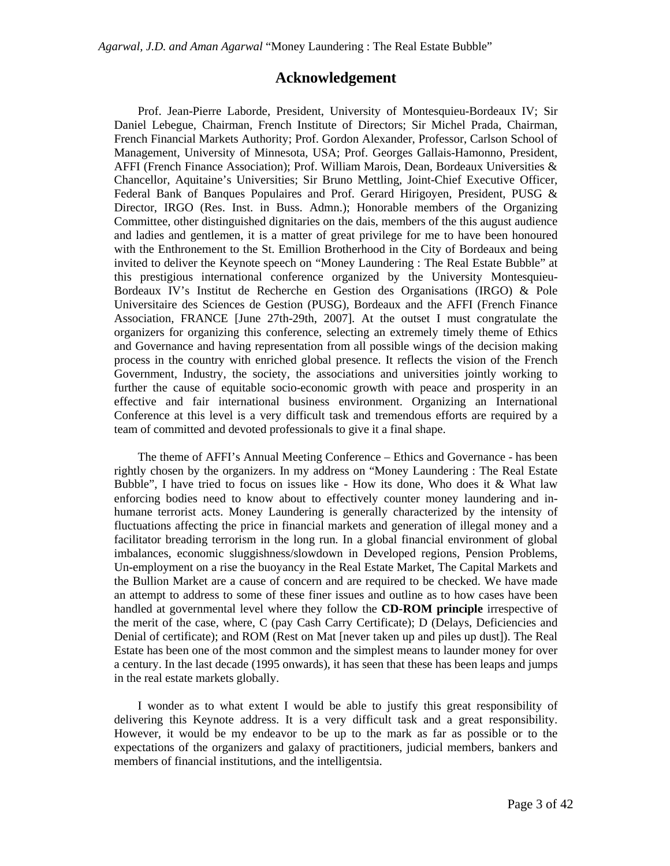### **Acknowledgement**

Prof. Jean-Pierre Laborde, President, University of Montesquieu-Bordeaux IV; Sir Daniel Lebegue, Chairman, French Institute of Directors; Sir Michel Prada, Chairman, French Financial Markets Authority; Prof. Gordon Alexander, Professor, Carlson School of Management, University of Minnesota, USA; Prof. Georges Gallais-Hamonno, President, AFFI (French Finance Association); Prof. William Marois, Dean, Bordeaux Universities & Chancellor, Aquitaine's Universities; Sir Bruno Mettling, Joint-Chief Executive Officer, Federal Bank of Banques Populaires and Prof. Gerard Hirigoyen, President, PUSG & Director, IRGO (Res. Inst. in Buss. Admn.); Honorable members of the Organizing Committee, other distinguished dignitaries on the dais, members of the this august audience and ladies and gentlemen, it is a matter of great privilege for me to have been honoured with the Enthronement to the St. Emillion Brotherhood in the City of Bordeaux and being invited to deliver the Keynote speech on "Money Laundering : The Real Estate Bubble" at this prestigious international conference organized by the University Montesquieu-Bordeaux IV's Institut de Recherche en Gestion des Organisations (IRGO) & Pole Universitaire des Sciences de Gestion (PUSG), Bordeaux and the AFFI (French Finance Association, FRANCE [June 27th-29th, 2007]. At the outset I must congratulate the organizers for organizing this conference, selecting an extremely timely theme of Ethics and Governance and having representation from all possible wings of the decision making process in the country with enriched global presence. It reflects the vision of the French Government, Industry, the society, the associations and universities jointly working to further the cause of equitable socio-economic growth with peace and prosperity in an effective and fair international business environment. Organizing an International Conference at this level is a very difficult task and tremendous efforts are required by a team of committed and devoted professionals to give it a final shape.

The theme of AFFI's Annual Meeting Conference – Ethics and Governance - has been rightly chosen by the organizers. In my address on "Money Laundering : The Real Estate Bubble", I have tried to focus on issues like - How its done, Who does it  $&$  What law enforcing bodies need to know about to effectively counter money laundering and inhumane terrorist acts. Money Laundering is generally characterized by the intensity of fluctuations affecting the price in financial markets and generation of illegal money and a facilitator breading terrorism in the long run. In a global financial environment of global imbalances, economic sluggishness/slowdown in Developed regions, Pension Problems, Un-employment on a rise the buoyancy in the Real Estate Market, The Capital Markets and the Bullion Market are a cause of concern and are required to be checked. We have made an attempt to address to some of these finer issues and outline as to how cases have been handled at governmental level where they follow the **CD-ROM principle** irrespective of the merit of the case, where, C (pay Cash Carry Certificate); D (Delays, Deficiencies and Denial of certificate); and ROM (Rest on Mat [never taken up and piles up dust]). The Real Estate has been one of the most common and the simplest means to launder money for over a century. In the last decade (1995 onwards), it has seen that these has been leaps and jumps in the real estate markets globally.

I wonder as to what extent I would be able to justify this great responsibility of delivering this Keynote address. It is a very difficult task and a great responsibility. However, it would be my endeavor to be up to the mark as far as possible or to the expectations of the organizers and galaxy of practitioners, judicial members, bankers and members of financial institutions, and the intelligentsia.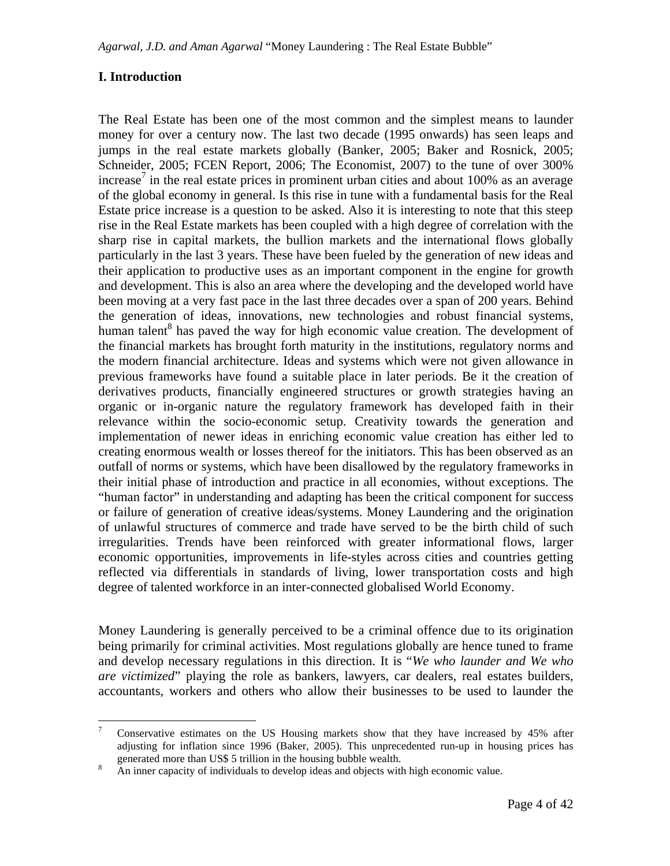## **I. Introduction**

 $\overline{a}$ 

The Real Estate has been one of the most common and the simplest means to launder money for over a century now. The last two decade (1995 onwards) has seen leaps and jumps in the real estate markets globally (Banker, 2005; Baker and Rosnick, 2005; Schneider, 2005; FCEN Report, 2006; The Economist, 2007) to the tune of over 300% increase<sup>7</sup> in the real estate prices in prominent urban cities and about 100% as an average of the global economy in general. Is this rise in tune with a fundamental basis for the Real Estate price increase is a question to be asked. Also it is interesting to note that this steep rise in the Real Estate markets has been coupled with a high degree of correlation with the sharp rise in capital markets, the bullion markets and the international flows globally particularly in the last 3 years. These have been fueled by the generation of new ideas and their application to productive uses as an important component in the engine for growth and development. This is also an area where the developing and the developed world have been moving at a very fast pace in the last three decades over a span of 200 years. Behind the generation of ideas, innovations, new technologies and robust financial systems, human talent<sup>8</sup> has paved the way for high economic value creation. The development of the financial markets has brought forth maturity in the institutions, regulatory norms and the modern financial architecture. Ideas and systems which were not given allowance in previous frameworks have found a suitable place in later periods. Be it the creation of derivatives products, financially engineered structures or growth strategies having an organic or in-organic nature the regulatory framework has developed faith in their relevance within the socio-economic setup. Creativity towards the generation and implementation of newer ideas in enriching economic value creation has either led to creating enormous wealth or losses thereof for the initiators. This has been observed as an outfall of norms or systems, which have been disallowed by the regulatory frameworks in their initial phase of introduction and practice in all economies, without exceptions. The "human factor" in understanding and adapting has been the critical component for success or failure of generation of creative ideas/systems. Money Laundering and the origination of unlawful structures of commerce and trade have served to be the birth child of such irregularities. Trends have been reinforced with greater informational flows, larger economic opportunities, improvements in life-styles across cities and countries getting reflected via differentials in standards of living, lower transportation costs and high degree of talented workforce in an inter-connected globalised World Economy.

Money Laundering is generally perceived to be a criminal offence due to its origination being primarily for criminal activities. Most regulations globally are hence tuned to frame and develop necessary regulations in this direction. It is "*We who launder and We who are victimized*" playing the role as bankers, lawyers, car dealers, real estates builders, accountants, workers and others who allow their businesses to be used to launder the

<sup>7</sup> Conservative estimates on the US Housing markets show that they have increased by 45% after adjusting for inflation since 1996 (Baker, 2005). This unprecedented run-up in housing prices has generated more than US\$ 5 trillion in the housing bubble wealth.

<sup>8</sup> An inner capacity of individuals to develop ideas and objects with high economic value.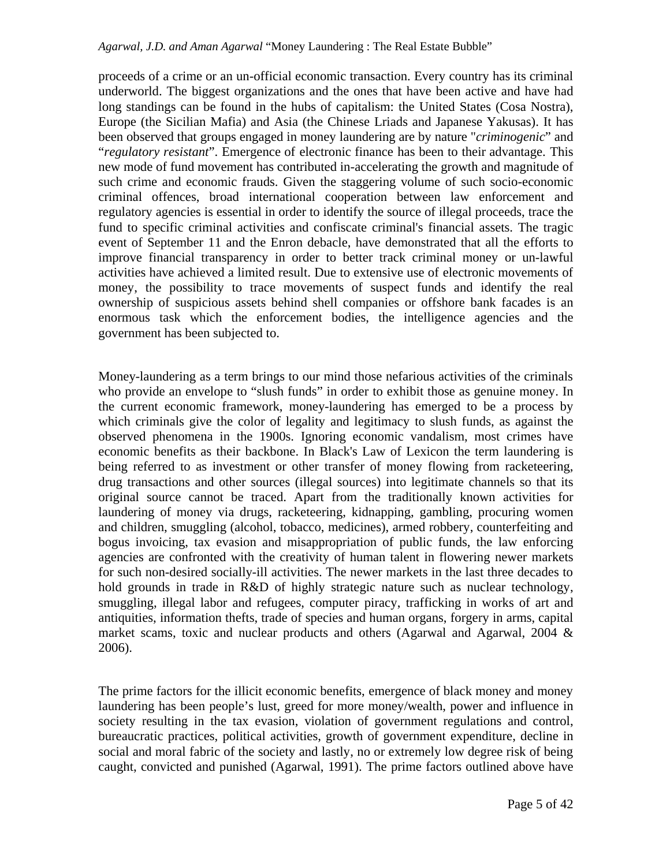proceeds of a crime or an un-official economic transaction. Every country has its criminal underworld. The biggest organizations and the ones that have been active and have had long standings can be found in the hubs of capitalism: the United States (Cosa Nostra), Europe (the Sicilian Mafia) and Asia (the Chinese Lriads and Japanese Yakusas). It has been observed that groups engaged in money laundering are by nature "*criminogenic*" and "*regulatory resistant*". Emergence of electronic finance has been to their advantage. This new mode of fund movement has contributed in-accelerating the growth and magnitude of such crime and economic frauds. Given the staggering volume of such socio-economic criminal offences, broad international cooperation between law enforcement and regulatory agencies is essential in order to identify the source of illegal proceeds, trace the fund to specific criminal activities and confiscate criminal's financial assets. The tragic event of September 11 and the Enron debacle, have demonstrated that all the efforts to improve financial transparency in order to better track criminal money or un-lawful activities have achieved a limited result. Due to extensive use of electronic movements of money, the possibility to trace movements of suspect funds and identify the real ownership of suspicious assets behind shell companies or offshore bank facades is an enormous task which the enforcement bodies, the intelligence agencies and the government has been subjected to.

Money-laundering as a term brings to our mind those nefarious activities of the criminals who provide an envelope to "slush funds" in order to exhibit those as genuine money. In the current economic framework, money-laundering has emerged to be a process by which criminals give the color of legality and legitimacy to slush funds, as against the observed phenomena in the 1900s. Ignoring economic vandalism, most crimes have economic benefits as their backbone. In Black's Law of Lexicon the term laundering is being referred to as investment or other transfer of money flowing from racketeering, drug transactions and other sources (illegal sources) into legitimate channels so that its original source cannot be traced. Apart from the traditionally known activities for laundering of money via drugs, racketeering, kidnapping, gambling, procuring women and children, smuggling (alcohol, tobacco, medicines), armed robbery, counterfeiting and bogus invoicing, tax evasion and misappropriation of public funds, the law enforcing agencies are confronted with the creativity of human talent in flowering newer markets for such non-desired socially-ill activities. The newer markets in the last three decades to hold grounds in trade in R&D of highly strategic nature such as nuclear technology, smuggling, illegal labor and refugees, computer piracy, trafficking in works of art and antiquities, information thefts, trade of species and human organs, forgery in arms, capital market scams, toxic and nuclear products and others (Agarwal and Agarwal, 2004 & 2006).

The prime factors for the illicit economic benefits, emergence of black money and money laundering has been people's lust, greed for more money/wealth, power and influence in society resulting in the tax evasion, violation of government regulations and control, bureaucratic practices, political activities, growth of government expenditure, decline in social and moral fabric of the society and lastly, no or extremely low degree risk of being caught, convicted and punished (Agarwal, 1991). The prime factors outlined above have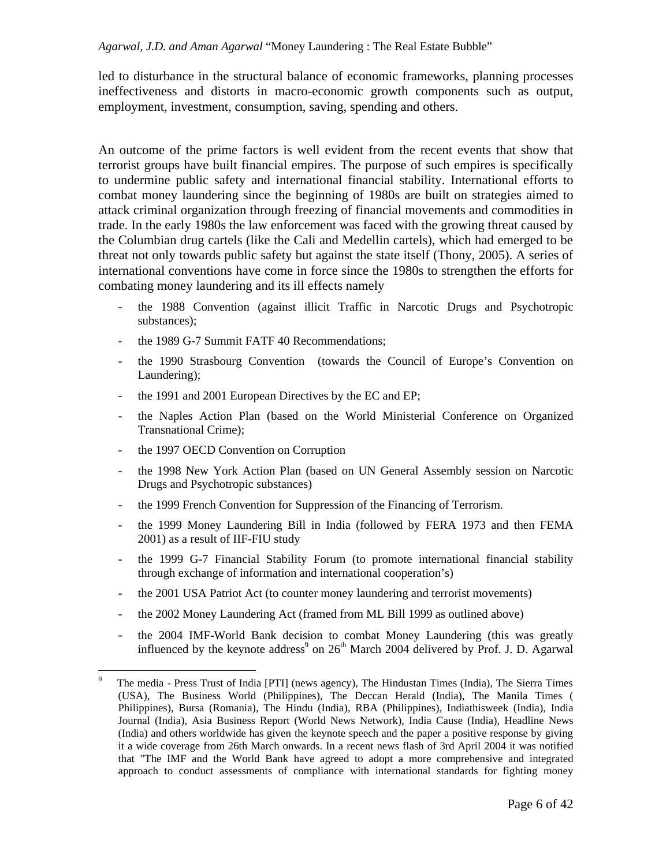led to disturbance in the structural balance of economic frameworks, planning processes ineffectiveness and distorts in macro-economic growth components such as output, employment, investment, consumption, saving, spending and others.

An outcome of the prime factors is well evident from the recent events that show that terrorist groups have built financial empires. The purpose of such empires is specifically to undermine public safety and international financial stability. International efforts to combat money laundering since the beginning of 1980s are built on strategies aimed to attack criminal organization through freezing of financial movements and commodities in trade. In the early 1980s the law enforcement was faced with the growing threat caused by the Columbian drug cartels (like the Cali and Medellin cartels), which had emerged to be threat not only towards public safety but against the state itself (Thony, 2005). A series of international conventions have come in force since the 1980s to strengthen the efforts for combating money laundering and its ill effects namely

- the 1988 Convention (against illicit Traffic in Narcotic Drugs and Psychotropic substances);
- the 1989 G-7 Summit FATF 40 Recommendations;
- the 1990 Strasbourg Convention (towards the Council of Europe's Convention on Laundering);
- the 1991 and 2001 European Directives by the EC and EP;
- the Naples Action Plan (based on the World Ministerial Conference on Organized Transnational Crime);
- the 1997 OECD Convention on Corruption
- the 1998 New York Action Plan (based on UN General Assembly session on Narcotic Drugs and Psychotropic substances)
- the 1999 French Convention for Suppression of the Financing of Terrorism.
- the 1999 Money Laundering Bill in India (followed by FERA 1973 and then FEMA 2001) as a result of IIF-FIU study
- the 1999 G-7 Financial Stability Forum (to promote international financial stability through exchange of information and international cooperation's)
- the 2001 USA Patriot Act (to counter money laundering and terrorist movements)
- the 2002 Money Laundering Act (framed from ML Bill 1999 as outlined above)
- the 2004 IMF-World Bank decision to combat Money Laundering (this was greatly influenced by the keynote address<sup>9</sup> on  $26<sup>th</sup>$  March 2004 delivered by Prof. J. D. Agarwal

<sup>9</sup> <sup>9</sup> The media - Press Trust of India [PTI] (news agency), The Hindustan Times (India), The Sierra Times (USA), The Business World (Philippines), The Deccan Herald (India), The Manila Times ( Philippines), Bursa (Romania), The Hindu (India), RBA (Philippines), Indiathisweek (India), India Journal (India), Asia Business Report (World News Network), India Cause (India), Headline News (India) and others worldwide has given the keynote speech and the paper a positive response by giving it a wide coverage from 26th March onwards. In a recent news flash of 3rd April 2004 it was notified that "The IMF and the World Bank have agreed to adopt a more comprehensive and integrated approach to conduct assessments of compliance with international standards for fighting money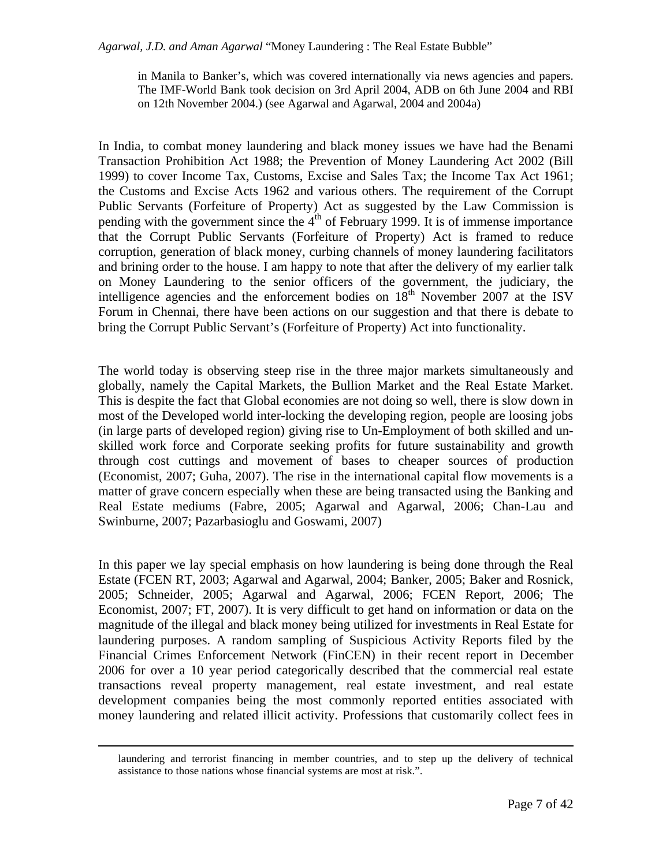in Manila to Banker's, which was covered internationally via news agencies and papers. The IMF-World Bank took decision on 3rd April 2004, ADB on 6th June 2004 and RBI on 12th November 2004.) (see Agarwal and Agarwal, 2004 and 2004a)

In India, to combat money laundering and black money issues we have had the Benami Transaction Prohibition Act 1988; the Prevention of Money Laundering Act 2002 (Bill 1999) to cover Income Tax, Customs, Excise and Sales Tax; the Income Tax Act 1961; the Customs and Excise Acts 1962 and various others. The requirement of the Corrupt Public Servants (Forfeiture of Property) Act as suggested by the Law Commission is pending with the government since the  $4<sup>th</sup>$  of February 1999. It is of immense importance that the Corrupt Public Servants (Forfeiture of Property) Act is framed to reduce corruption, generation of black money, curbing channels of money laundering facilitators and brining order to the house. I am happy to note that after the delivery of my earlier talk on Money Laundering to the senior officers of the government, the judiciary, the intelligence agencies and the enforcement bodies on  $18<sup>th</sup>$  November 2007 at the ISV Forum in Chennai, there have been actions on our suggestion and that there is debate to bring the Corrupt Public Servant's (Forfeiture of Property) Act into functionality.

The world today is observing steep rise in the three major markets simultaneously and globally, namely the Capital Markets, the Bullion Market and the Real Estate Market. This is despite the fact that Global economies are not doing so well, there is slow down in most of the Developed world inter-locking the developing region, people are loosing jobs (in large parts of developed region) giving rise to Un-Employment of both skilled and unskilled work force and Corporate seeking profits for future sustainability and growth through cost cuttings and movement of bases to cheaper sources of production (Economist, 2007; Guha, 2007). The rise in the international capital flow movements is a matter of grave concern especially when these are being transacted using the Banking and Real Estate mediums (Fabre, 2005; Agarwal and Agarwal, 2006; Chan-Lau and Swinburne, 2007; Pazarbasioglu and Goswami, 2007)

In this paper we lay special emphasis on how laundering is being done through the Real Estate (FCEN RT, 2003; Agarwal and Agarwal, 2004; Banker, 2005; Baker and Rosnick, 2005; Schneider, 2005; Agarwal and Agarwal, 2006; FCEN Report, 2006; The Economist, 2007; FT, 2007). It is very difficult to get hand on information or data on the magnitude of the illegal and black money being utilized for investments in Real Estate for laundering purposes. A random sampling of Suspicious Activity Reports filed by the Financial Crimes Enforcement Network (FinCEN) in their recent report in December 2006 for over a 10 year period categorically described that the commercial real estate transactions reveal property management, real estate investment, and real estate development companies being the most commonly reported entities associated with money laundering and related illicit activity. Professions that customarily collect fees in

 $\overline{a}$ 

laundering and terrorist financing in member countries, and to step up the delivery of technical assistance to those nations whose financial systems are most at risk.".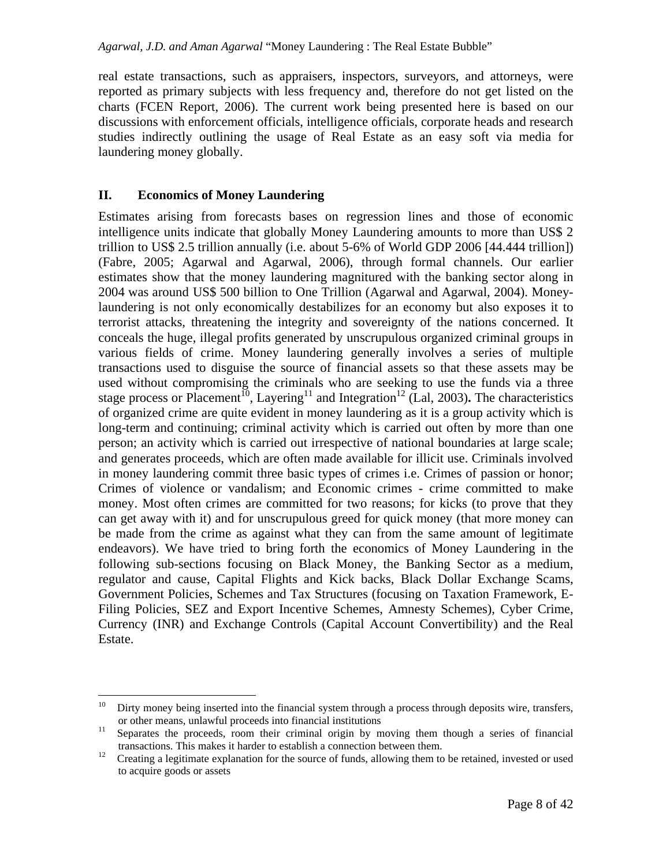real estate transactions, such as appraisers, inspectors, surveyors, and attorneys, were reported as primary subjects with less frequency and, therefore do not get listed on the charts (FCEN Report, 2006). The current work being presented here is based on our discussions with enforcement officials, intelligence officials, corporate heads and research studies indirectly outlining the usage of Real Estate as an easy soft via media for laundering money globally.

## **II. Economics of Money Laundering**

Estimates arising from forecasts bases on regression lines and those of economic intelligence units indicate that globally Money Laundering amounts to more than US\$ 2 trillion to US\$ 2.5 trillion annually (i.e. about 5-6% of World GDP 2006 [44.444 trillion]) (Fabre, 2005; Agarwal and Agarwal, 2006), through formal channels. Our earlier estimates show that the money laundering magnitured with the banking sector along in 2004 was around US\$ 500 billion to One Trillion (Agarwal and Agarwal, 2004). Moneylaundering is not only economically destabilizes for an economy but also exposes it to terrorist attacks, threatening the integrity and sovereignty of the nations concerned. It conceals the huge, illegal profits generated by unscrupulous organized criminal groups in various fields of crime. Money laundering generally involves a series of multiple transactions used to disguise the source of financial assets so that these assets may be used without compromising the criminals who are seeking to use the funds via a three stage process or Placement<sup>10</sup>, Layering<sup>11</sup> and Integration<sup>12</sup> (Lal, 2003). The characteristics of organized crime are quite evident in money laundering as it is a group activity which is long-term and continuing; criminal activity which is carried out often by more than one person; an activity which is carried out irrespective of national boundaries at large scale; and generates proceeds, which are often made available for illicit use. Criminals involved in money laundering commit three basic types of crimes i.e. Crimes of passion or honor; Crimes of violence or vandalism; and Economic crimes - crime committed to make money. Most often crimes are committed for two reasons; for kicks (to prove that they can get away with it) and for unscrupulous greed for quick money (that more money can be made from the crime as against what they can from the same amount of legitimate endeavors). We have tried to bring forth the economics of Money Laundering in the following sub-sections focusing on Black Money, the Banking Sector as a medium, regulator and cause, Capital Flights and Kick backs, Black Dollar Exchange Scams, Government Policies, Schemes and Tax Structures (focusing on Taxation Framework, E-Filing Policies, SEZ and Export Incentive Schemes, Amnesty Schemes), Cyber Crime, Currency (INR) and Exchange Controls (Capital Account Convertibility) and the Real Estate.

 $10\,$ Dirty money being inserted into the financial system through a process through deposits wire, transfers, or other means, unlawful proceeds into financial institutions

<sup>&</sup>lt;sup>11</sup> Separates the proceeds, room their criminal origin by moving them though a series of financial transactions. This makes it harder to establish a connection between them.

 $12$  Creating a legitimate explanation for the source of funds, allowing them to be retained, invested or used to acquire goods or assets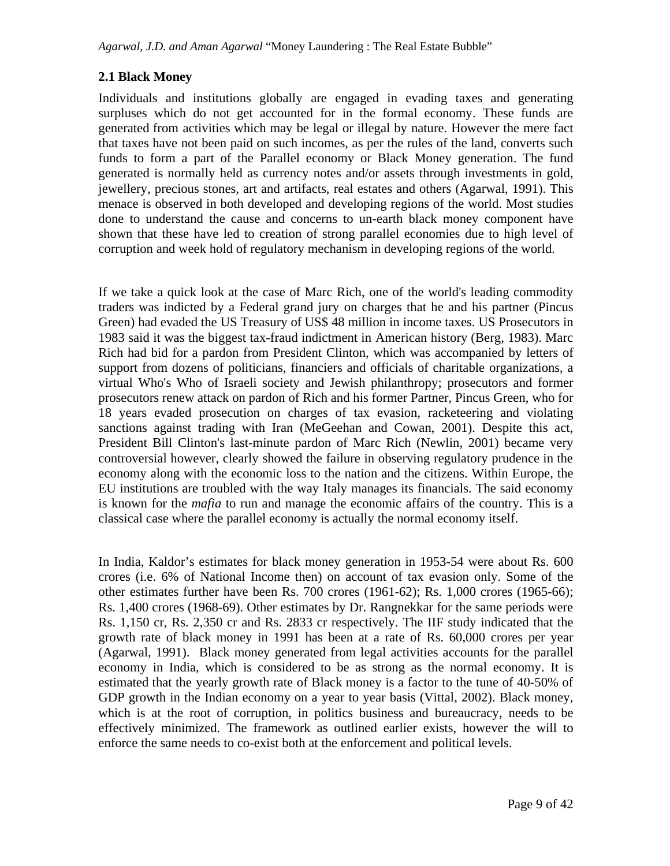# **2.1 Black Money**

Individuals and institutions globally are engaged in evading taxes and generating surpluses which do not get accounted for in the formal economy. These funds are generated from activities which may be legal or illegal by nature. However the mere fact that taxes have not been paid on such incomes, as per the rules of the land, converts such funds to form a part of the Parallel economy or Black Money generation. The fund generated is normally held as currency notes and/or assets through investments in gold, jewellery, precious stones, art and artifacts, real estates and others (Agarwal, 1991). This menace is observed in both developed and developing regions of the world. Most studies done to understand the cause and concerns to un-earth black money component have shown that these have led to creation of strong parallel economies due to high level of corruption and week hold of regulatory mechanism in developing regions of the world.

If we take a quick look at the case of Marc Rich, one of the world's leading commodity traders was indicted by a Federal grand jury on charges that he and his partner (Pincus Green) had evaded the US Treasury of US\$ 48 million in income taxes. US Prosecutors in 1983 said it was the biggest tax-fraud indictment in American history (Berg, 1983). Marc Rich had bid for a pardon from President Clinton, which was accompanied by letters of support from dozens of politicians, financiers and officials of charitable organizations, a virtual Who's Who of Israeli society and Jewish philanthropy; prosecutors and former prosecutors renew attack on pardon of Rich and his former Partner, Pincus Green, who for 18 years evaded prosecution on charges of tax evasion, racketeering and violating sanctions against trading with Iran (MeGeehan and Cowan, 2001). Despite this act, President Bill Clinton's last-minute pardon of Marc Rich (Newlin, 2001) became very controversial however, clearly showed the failure in observing regulatory prudence in the economy along with the economic loss to the nation and the citizens. Within Europe, the EU institutions are troubled with the way Italy manages its financials. The said economy is known for the *mafia* to run and manage the economic affairs of the country. This is a classical case where the parallel economy is actually the normal economy itself.

In India, Kaldor's estimates for black money generation in 1953-54 were about Rs. 600 crores (i.e. 6% of National Income then) on account of tax evasion only. Some of the other estimates further have been Rs. 700 crores (1961-62); Rs. 1,000 crores (1965-66); Rs. 1,400 crores (1968-69). Other estimates by Dr. Rangnekkar for the same periods were Rs. 1,150 cr, Rs. 2,350 cr and Rs. 2833 cr respectively. The IIF study indicated that the growth rate of black money in 1991 has been at a rate of Rs. 60,000 crores per year (Agarwal, 1991). Black money generated from legal activities accounts for the parallel economy in India, which is considered to be as strong as the normal economy. It is estimated that the yearly growth rate of Black money is a factor to the tune of 40-50% of GDP growth in the Indian economy on a year to year basis (Vittal, 2002). Black money, which is at the root of corruption, in politics business and bureaucracy, needs to be effectively minimized. The framework as outlined earlier exists, however the will to enforce the same needs to co-exist both at the enforcement and political levels.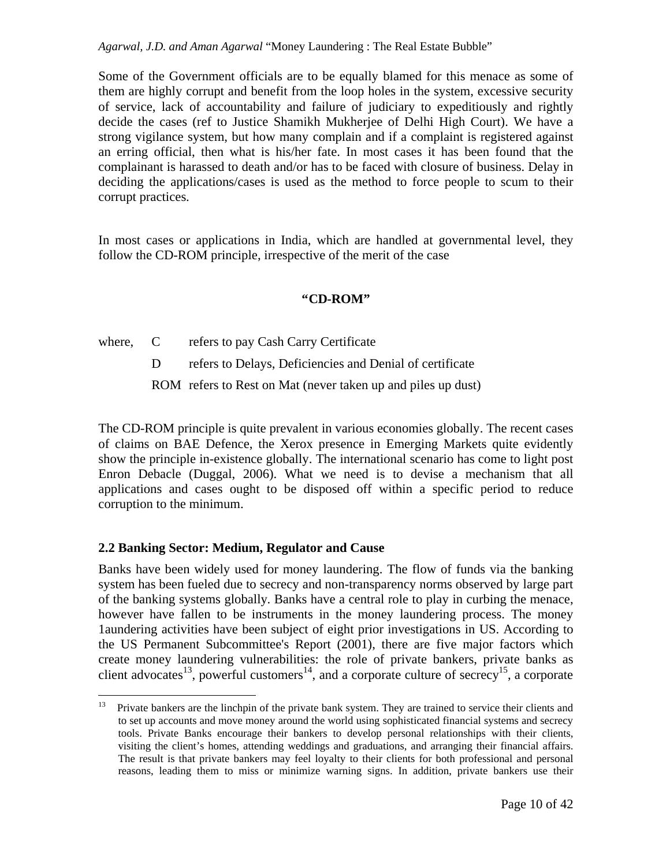Some of the Government officials are to be equally blamed for this menace as some of them are highly corrupt and benefit from the loop holes in the system, excessive security of service, lack of accountability and failure of judiciary to expeditiously and rightly decide the cases (ref to Justice Shamikh Mukherjee of Delhi High Court). We have a strong vigilance system, but how many complain and if a complaint is registered against an erring official, then what is his/her fate. In most cases it has been found that the complainant is harassed to death and/or has to be faced with closure of business. Delay in deciding the applications/cases is used as the method to force people to scum to their corrupt practices.

In most cases or applications in India, which are handled at governmental level, they follow the CD-ROM principle, irrespective of the merit of the case

## **"CD-ROM"**

where, C refers to pay Cash Carry Certificate

D refers to Delays, Deficiencies and Denial of certificate

ROM refers to Rest on Mat (never taken up and piles up dust)

The CD-ROM principle is quite prevalent in various economies globally. The recent cases of claims on BAE Defence, the Xerox presence in Emerging Markets quite evidently show the principle in-existence globally. The international scenario has come to light post Enron Debacle (Duggal, 2006). What we need is to devise a mechanism that all applications and cases ought to be disposed off within a specific period to reduce corruption to the minimum.

# **2.2 Banking Sector: Medium, Regulator and Cause**

Banks have been widely used for money laundering. The flow of funds via the banking system has been fueled due to secrecy and non-transparency norms observed by large part of the banking systems globally. Banks have a central role to play in curbing the menace, however have fallen to be instruments in the money laundering process. The money 1aundering activities have been subject of eight prior investigations in US. According to the US Permanent Subcommittee's Report (2001), there are five major factors which create money laundering vulnerabilities: the role of private bankers, private banks as client advocates<sup>13</sup>, powerful customers<sup>14</sup>, and a corporate culture of secrecy<sup>15</sup>, a corporate

 $13\,$ <sup>13</sup> Private bankers are the linchpin of the private bank system. They are trained to service their clients and to set up accounts and move money around the world using sophisticated financial systems and secrecy tools. Private Banks encourage their bankers to develop personal relationships with their clients, visiting the client's homes, attending weddings and graduations, and arranging their financial affairs. The result is that private bankers may feel loyalty to their clients for both professional and personal reasons, leading them to miss or minimize warning signs. In addition, private bankers use their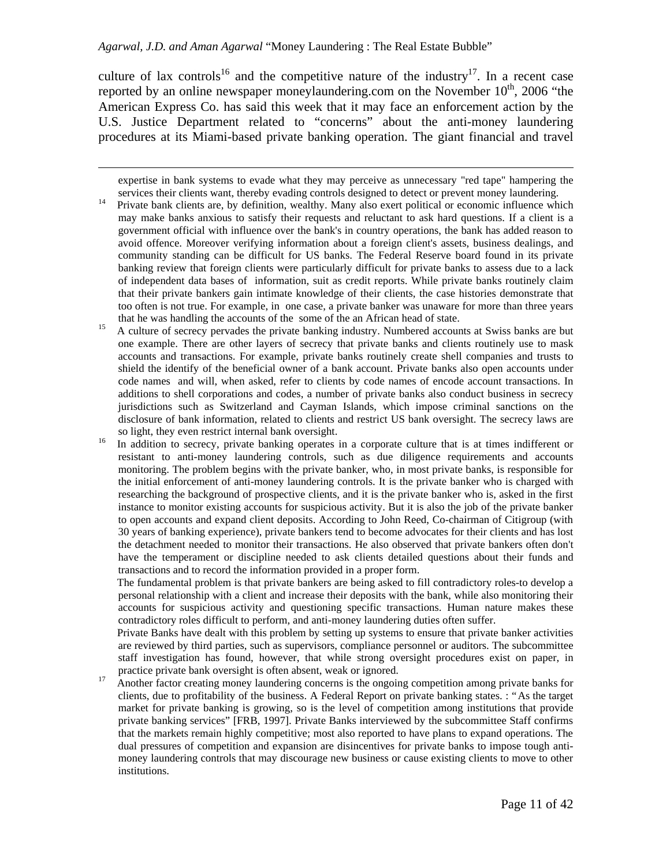$\overline{a}$ 

culture of lax controls<sup>16</sup> and the competitive nature of the industry<sup>17</sup>. In a recent case reported by an online newspaper moneylaundering.com on the November  $10<sup>th</sup>$ , 2006 "the American Express Co. has said this week that it may face an enforcement action by the U.S. Justice Department related to "concerns" about the anti-money laundering procedures at its Miami-based private banking operation. The giant financial and travel

expertise in bank systems to evade what they may perceive as unnecessary "red tape" hampering the services their clients want, thereby evading controls designed to detect or prevent money laundering.

- <sup>14</sup> Private bank clients are, by definition, wealthy. Many also exert political or economic influence which may make banks anxious to satisfy their requests and reluctant to ask hard questions. If a client is a government official with influence over the bank's in country operations, the bank has added reason to avoid offence. Moreover verifying information about a foreign client's assets, business dealings, and community standing can be difficult for US banks. The Federal Reserve board found in its private banking review that foreign clients were particularly difficult for private banks to assess due to a lack of independent data bases of information, suit as credit reports. While private banks routinely claim that their private bankers gain intimate knowledge of their clients, the case histories demonstrate that too often is not true. For example, in one case, a private banker was unaware for more than three years that he was handling the accounts of the some of the an African head of state.
- <sup>15</sup> A culture of secrecy pervades the private banking industry. Numbered accounts at Swiss banks are but one example. There are other layers of secrecy that private banks and clients routinely use to mask accounts and transactions. For example, private banks routinely create shell companies and trusts to shield the identify of the beneficial owner of a bank account. Private banks also open accounts under code names and will, when asked, refer to clients by code names of encode account transactions. In additions to shell corporations and codes, a number of private banks also conduct business in secrecy jurisdictions such as Switzerland and Cayman Islands, which impose criminal sanctions on the disclosure of bank information, related to clients and restrict US bank oversight. The secrecy laws are so light, they even restrict internal bank oversight.

<sup>16</sup> In addition to secrecy, private banking operates in a corporate culture that is at times indifferent or resistant to anti-money laundering controls, such as due diligence requirements and accounts monitoring. The problem begins with the private banker, who, in most private banks, is responsible for the initial enforcement of anti-money laundering controls. It is the private banker who is charged with researching the background of prospective clients, and it is the private banker who is, asked in the first instance to monitor existing accounts for suspicious activity. But it is also the job of the private banker to open accounts and expand client deposits. According to John Reed, Co-chairman of Citigroup (with 30 years of banking experience), private bankers tend to become advocates for their clients and has lost the detachment needed to monitor their transactions. He also observed that private bankers often don't have the temperament or discipline needed to ask clients detailed questions about their funds and transactions and to record the information provided in a proper form.

The fundamental problem is that private bankers are being asked to fill contradictory roles-to develop a personal relationship with a client and increase their deposits with the bank, while also monitoring their accounts for suspicious activity and questioning specific transactions. Human nature makes these contradictory roles difficult to perform, and anti-money laundering duties often suffer.

Private Banks have dealt with this problem by setting up systems to ensure that private banker activities are reviewed by third parties, such as supervisors, compliance personnel or auditors. The subcommittee staff investigation has found, however, that while strong oversight procedures exist on paper, in practice private bank oversight is often absent, weak or ignored.

<sup>17</sup> Another factor creating money laundering concerns is the ongoing competition among private banks for clients, due to profitability of the business. A Federal Report on private banking states. : "As the target market for private banking is growing, so is the level of competition among institutions that provide private banking services" [FRB, 1997]. Private Banks interviewed by the subcommittee Staff confirms that the markets remain highly competitive; most also reported to have plans to expand operations. The dual pressures of competition and expansion are disincentives for private banks to impose tough antimoney laundering controls that may discourage new business or cause existing clients to move to other institutions.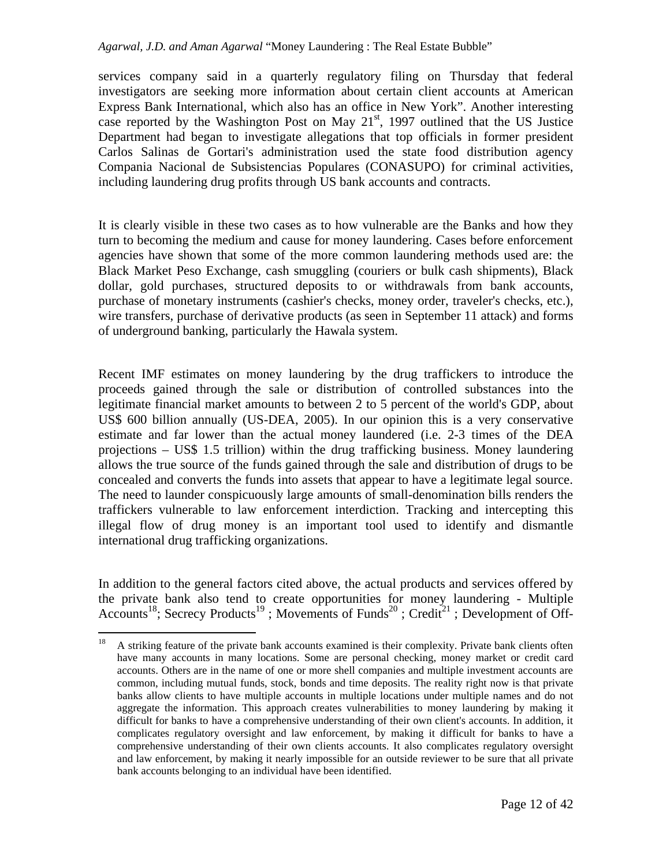services company said in a quarterly regulatory filing on Thursday that federal investigators are seeking more information about certain client accounts at American Express Bank International, which also has an office in New York". Another interesting case reported by the Washington Post on May  $21<sup>st</sup>$ , 1997 outlined that the US Justice Department had began to investigate allegations that top officials in former president Carlos Salinas de Gortari's administration used the state food distribution agency Compania Nacional de Subsistencias Populares (CONASUPO) for criminal activities, including laundering drug profits through US bank accounts and contracts.

It is clearly visible in these two cases as to how vulnerable are the Banks and how they turn to becoming the medium and cause for money laundering. Cases before enforcement agencies have shown that some of the more common laundering methods used are: the Black Market Peso Exchange, cash smuggling (couriers or bulk cash shipments), Black dollar, gold purchases, structured deposits to or withdrawals from bank accounts, purchase of monetary instruments (cashier's checks, money order, traveler's checks, etc.), wire transfers, purchase of derivative products (as seen in September 11 attack) and forms of underground banking, particularly the Hawala system.

Recent IMF estimates on money laundering by the drug traffickers to introduce the proceeds gained through the sale or distribution of controlled substances into the legitimate financial market amounts to between 2 to 5 percent of the world's GDP, about US\$ 600 billion annually (US-DEA, 2005). In our opinion this is a very conservative estimate and far lower than the actual money laundered (i.e. 2-3 times of the DEA projections – US\$ 1.5 trillion) within the drug trafficking business. Money laundering allows the true source of the funds gained through the sale and distribution of drugs to be concealed and converts the funds into assets that appear to have a legitimate legal source. The need to launder conspicuously large amounts of small-denomination bills renders the traffickers vulnerable to law enforcement interdiction. Tracking and intercepting this illegal flow of drug money is an important tool used to identify and dismantle international drug trafficking organizations.

In addition to the general factors cited above, the actual products and services offered by the private bank also tend to create opportunities for money laundering - Multiple Accounts<sup>18</sup>; Secrecy Products<sup>19</sup>; Movements of Funds<sup>20</sup>; Credit<sup>21</sup>; Development of Off-

 $18\,$ <sup>18</sup> A striking feature of the private bank accounts examined is their complexity. Private bank clients often have many accounts in many locations. Some are personal checking, money market or credit card accounts. Others are in the name of one or more shell companies and multiple investment accounts are common, including mutual funds, stock, bonds and time deposits. The reality right now is that private banks allow clients to have multiple accounts in multiple locations under multiple names and do not aggregate the information. This approach creates vulnerabilities to money laundering by making it difficult for banks to have a comprehensive understanding of their own client's accounts. In addition, it complicates regulatory oversight and law enforcement, by making it difficult for banks to have a comprehensive understanding of their own clients accounts. It also complicates regulatory oversight and law enforcement, by making it nearly impossible for an outside reviewer to be sure that all private bank accounts belonging to an individual have been identified.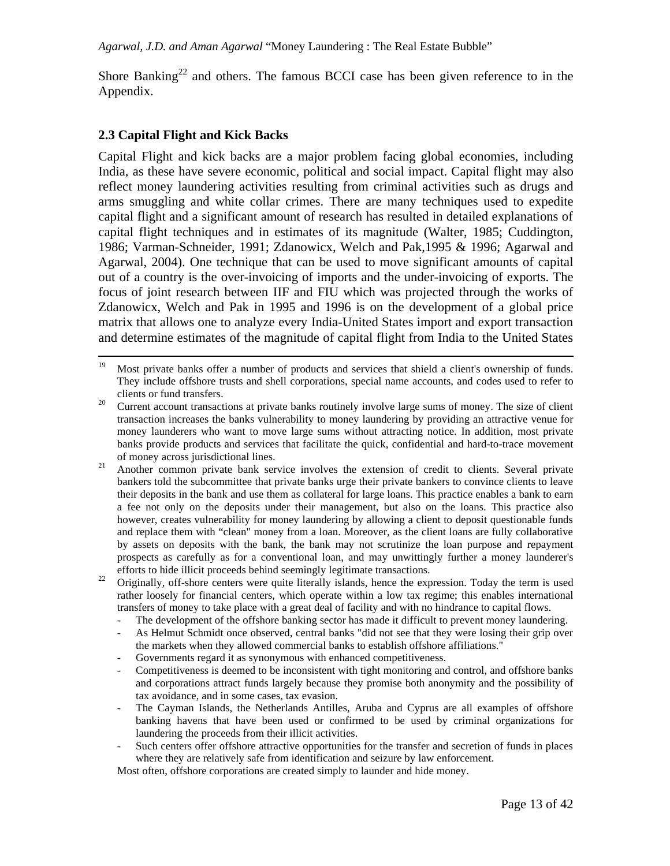Shore Banking<sup>22</sup> and others. The famous BCCI case has been given reference to in the Appendix.

## **2.3 Capital Flight and Kick Backs**

Capital Flight and kick backs are a major problem facing global economies, including India, as these have severe economic, political and social impact. Capital flight may also reflect money laundering activities resulting from criminal activities such as drugs and arms smuggling and white collar crimes. There are many techniques used to expedite capital flight and a significant amount of research has resulted in detailed explanations of capital flight techniques and in estimates of its magnitude (Walter, 1985; Cuddington, 1986; Varman-Schneider, 1991; Zdanowicx, Welch and Pak,1995 & 1996; Agarwal and Agarwal, 2004). One technique that can be used to move significant amounts of capital out of a country is the over-invoicing of imports and the under-invoicing of exports. The focus of joint research between IIF and FIU which was projected through the works of Zdanowicx, Welch and Pak in 1995 and 1996 is on the development of a global price matrix that allows one to analyze every India-United States import and export transaction and determine estimates of the magnitude of capital flight from India to the United States

<sup>22</sup> Originally, off-shore centers were quite literally islands, hence the expression. Today the term is used rather loosely for financial centers, which operate within a low tax regime; this enables international transfers of money to take place with a great deal of facility and with no hindrance to capital flows.

- The development of the offshore banking sector has made it difficult to prevent money laundering.
- As Helmut Schmidt once observed, central banks "did not see that they were losing their grip over the markets when they allowed commercial banks to establish offshore affiliations."
- Governments regard it as synonymous with enhanced competitiveness.
- Competitiveness is deemed to be inconsistent with tight monitoring and control, and offshore banks and corporations attract funds largely because they promise both anonymity and the possibility of tax avoidance, and in some cases, tax evasion.
- The Cayman Islands, the Netherlands Antilles, Aruba and Cyprus are all examples of offshore banking havens that have been used or confirmed to be used by criminal organizations for laundering the proceeds from their illicit activities.
- Such centers offer offshore attractive opportunities for the transfer and secretion of funds in places where they are relatively safe from identification and seizure by law enforcement.

Most often, offshore corporations are created simply to launder and hide money.

<sup>19</sup> Most private banks offer a number of products and services that shield a client's ownership of funds. They include offshore trusts and shell corporations, special name accounts, and codes used to refer to clients or fund transfers.

<sup>&</sup>lt;sup>20</sup> Current account transactions at private banks routinely involve large sums of money. The size of client transaction increases the banks vulnerability to money laundering by providing an attractive venue for money launderers who want to move large sums without attracting notice. In addition, most private banks provide products and services that facilitate the quick, confidential and hard-to-trace movement of money across jurisdictional lines.

<sup>&</sup>lt;sup>21</sup> Another common private bank service involves the extension of credit to clients. Several private bankers told the subcommittee that private banks urge their private bankers to convince clients to leave their deposits in the bank and use them as collateral for large loans. This practice enables a bank to earn a fee not only on the deposits under their management, but also on the loans. This practice also however, creates vulnerability for money laundering by allowing a client to deposit questionable funds and replace them with "clean" money from a loan. Moreover, as the client loans are fully collaborative by assets on deposits with the bank, the bank may not scrutinize the loan purpose and repayment prospects as carefully as for a conventional loan, and may unwittingly further a money launderer's efforts to hide illicit proceeds behind seemingly legitimate transactions.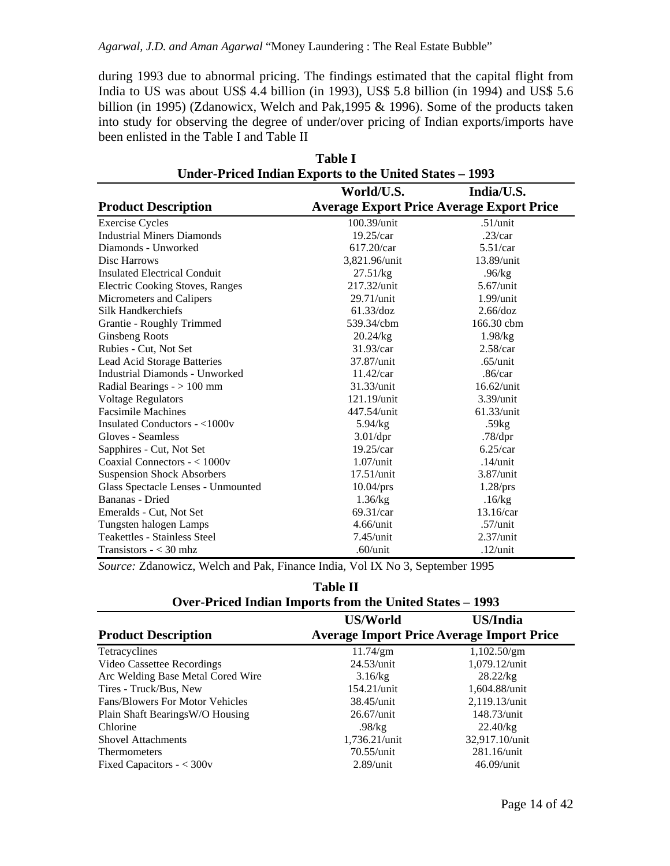during 1993 due to abnormal pricing. The findings estimated that the capital flight from India to US was about US\$ 4.4 billion (in 1993), US\$ 5.8 billion (in 1994) and US\$ 5.6 billion (in 1995) (Zdanowicx, Welch and Pak,1995 & 1996). Some of the products taken into study for observing the degree of under/over pricing of Indian exports/imports have been enlisted in the Table I and Table II

|                                     | <b>Table I</b>                                          |                                                  |
|-------------------------------------|---------------------------------------------------------|--------------------------------------------------|
|                                     | Under-Priced Indian Exports to the United States – 1993 |                                                  |
|                                     | World/U.S.                                              | India/U.S.                                       |
| <b>Product Description</b>          |                                                         | <b>Average Export Price Average Export Price</b> |
| <b>Exercise Cycles</b>              | $100.39$ /unit                                          | .51/unit                                         |
| <b>Industrial Miners Diamonds</b>   | $19.25/c$ ar                                            | $.23/c$ ar                                       |
| Diamonds - Unworked                 | 617.20/car                                              | $5.51/c$ ar                                      |
| Disc Harrows                        | 3,821.96/unit                                           | 13.89/unit                                       |
| <b>Insulated Electrical Conduit</b> | 27.51/kg                                                | .96/kg                                           |
| Electric Cooking Stoves, Ranges     | 217.32/unit                                             | $5.67$ /unit                                     |
| Micrometers and Calipers            | 29.71/unit                                              | $1.99$ /unit                                     |
| Silk Handkerchiefs                  | 61.33/doz                                               | 2.66/doz                                         |
| Grantie - Roughly Trimmed           | 539.34/cbm                                              | 166.30 cbm                                       |
| Ginsbeng Roots                      | 20.24/kg                                                | 1.98/kg                                          |
| Rubies - Cut, Not Set               | $31.93/c$ ar                                            | 2.58/car                                         |
| Lead Acid Storage Batteries         | 37.87/unit                                              | $.65/$ unit                                      |
| Industrial Diamonds - Unworked      | $11.42/c$ ar                                            | .86/car                                          |
| Radial Bearings $-$ > 100 mm        | 31.33/unit                                              | $16.62$ /unit                                    |
| <b>Voltage Regulators</b>           | 121.19/unit                                             | $3.39$ /unit                                     |
| <b>Facsimile Machines</b>           | 447.54/unit                                             | 61.33/unit                                       |
| Insulated Conductors - <1000v       | 5.94/kg                                                 | .59kg                                            |
| Gloves - Seamless                   | 3.01/dpr                                                | .78/dpr                                          |
| Sapphires - Cut, Not Set            | $19.25/c$ ar                                            | $6.25/c$ ar                                      |
| Coaxial Connectors - < 1000v        | $1.07$ /unit                                            | $.14$ /unit                                      |
| <b>Suspension Shock Absorbers</b>   | $17.51$ /unit                                           | 3.87/unit                                        |
| Glass Spectacle Lenses - Unmounted  | 10.04/prs                                               | 1.28/prs                                         |
| Bananas - Dried                     | 1.36/kg                                                 | .16/kg                                           |
| Emeralds - Cut, Not Set             | $69.31/c$ ar                                            | $13.16/c$ ar                                     |
| Tungsten halogen Lamps              | $4.66$ /unit                                            | $.57/$ unit                                      |
| <b>Teakettles - Stainless Steel</b> | $7.45$ /unit                                            | $2.37/$ unit                                     |
| Transistors $- < 30$ mhz            | $.60$ /unit                                             | $.12$ /unit                                      |

*Source:* Zdanowicz, Welch and Pak, Finance India, Vol IX No 3, September 1995

| nı<br>H<br>н<br>г |  |
|-------------------|--|
|-------------------|--|

|                                        | O ver a ricea manum miporto from the emited banco |                  |  |  |
|----------------------------------------|---------------------------------------------------|------------------|--|--|
|                                        | <b>US/World</b>                                   | <b>US/India</b>  |  |  |
| <b>Product Description</b>             | <b>Average Import Price Average Import Price</b>  |                  |  |  |
| Tetracyclines                          | $11.74$ /gm                                       | 1,102.50/gm      |  |  |
| Video Cassettee Recordings             | $24.53$ /unit                                     | 1,079.12/unit    |  |  |
| Arc Welding Base Metal Cored Wire      | 3.16/kg                                           | 28.22/kg         |  |  |
| Tires - Truck/Bus, New                 | $154.21$ /unit                                    | 1,604.88/unit    |  |  |
| <b>Fans/Blowers For Motor Vehicles</b> | $38.45$ /unit                                     | $2,119.13/$ unit |  |  |
| Plain Shaft BearingsW/O Housing        | $26.67$ /unit                                     | 148.73/unit      |  |  |
| Chlorine                               | .98/kg                                            | 22.40/kg         |  |  |
| <b>Shovel Attachments</b>              | 1,736.21/unit                                     | 32,917.10/unit   |  |  |
| <b>Thermometers</b>                    | $70.55/$ unit                                     | $281.16$ /unit   |  |  |
| Fixed Capacitors $- < 300v$            | $2.89$ /unit                                      | $46.09$ /unit    |  |  |

| -------- |                                                          |  |  |  |  |
|----------|----------------------------------------------------------|--|--|--|--|
|          | Over-Priced Indian Imports from the United States – 1993 |  |  |  |  |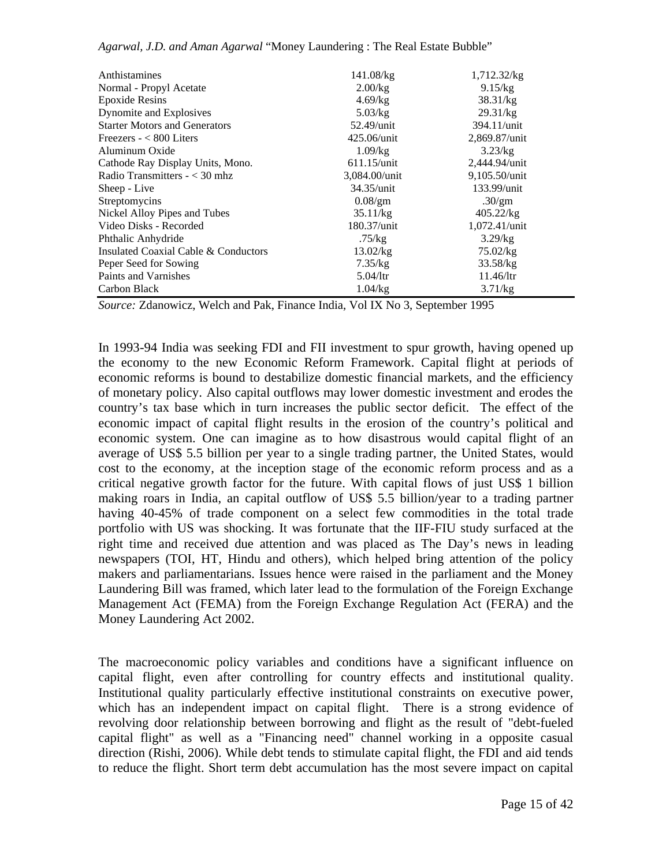| Anthistamines                        | 141.08/kg      | 1,712.32/kg    |
|--------------------------------------|----------------|----------------|
| Normal - Propyl Acetate              | $2.00$ /kg     | 9.15/kg        |
| <b>Epoxide Resins</b>                | 4.69/kg        | 38.31/kg       |
| Dynomite and Explosives              | 5.03/kg        | 29.31/kg       |
| <b>Starter Motors and Generators</b> | $52.49$ /unit  | $394.11$ /unit |
| Freezers $- < 800$ Liters            | 425.06/unit    | 2,869.87/unit  |
| Aluminum Oxide                       | 1.09/kg        | 3.23/kg        |
| Cathode Ray Display Units, Mono.     | $611.15$ /unit | 2,444.94/unit  |
| Radio Transmitters $- < 30$ mhz      | 3,084.00/unit  | 9,105.50/unit  |
| Sheep - Live                         | $34.35/$ unit  | 133.99/unit    |
| Streptomycins                        | $0.08$ /gm     | .30/gm         |
| Nickel Alloy Pipes and Tubes         | 35.11/kg       | 405.22/kg      |
| Video Disks - Recorded               | 180.37/unit    | 1,072.41/unit  |
| Phthalic Anhydride                   | .75/kg         | 3.29/kg        |
| Insulated Coaxial Cable & Conductors | 13.02/kg       | 75.02/kg       |
| Peper Seed for Sowing                | 7.35/kg        | 33.58/kg       |
| Paints and Varnishes                 | 5.04/Itr       | $11.46/$ ltr   |
| Carbon Black                         | 1.04/kg        | 3.71/kg        |

*Source:* Zdanowicz, Welch and Pak, Finance India, Vol IX No 3, September 1995

In 1993-94 India was seeking FDI and FII investment to spur growth, having opened up the economy to the new Economic Reform Framework. Capital flight at periods of economic reforms is bound to destabilize domestic financial markets, and the efficiency of monetary policy. Also capital outflows may lower domestic investment and erodes the country's tax base which in turn increases the public sector deficit. The effect of the economic impact of capital flight results in the erosion of the country's political and economic system. One can imagine as to how disastrous would capital flight of an average of US\$ 5.5 billion per year to a single trading partner, the United States, would cost to the economy, at the inception stage of the economic reform process and as a critical negative growth factor for the future. With capital flows of just US\$ 1 billion making roars in India, an capital outflow of US\$ 5.5 billion/year to a trading partner having 40-45% of trade component on a select few commodities in the total trade portfolio with US was shocking. It was fortunate that the IIF-FIU study surfaced at the right time and received due attention and was placed as The Day's news in leading newspapers (TOI, HT, Hindu and others), which helped bring attention of the policy makers and parliamentarians. Issues hence were raised in the parliament and the Money Laundering Bill was framed, which later lead to the formulation of the Foreign Exchange Management Act (FEMA) from the Foreign Exchange Regulation Act (FERA) and the Money Laundering Act 2002.

The macroeconomic policy variables and conditions have a significant influence on capital flight, even after controlling for country effects and institutional quality. Institutional quality particularly effective institutional constraints on executive power, which has an independent impact on capital flight. There is a strong evidence of revolving door relationship between borrowing and flight as the result of "debt-fueled capital flight" as well as a "Financing need" channel working in a opposite casual direction (Rishi, 2006). While debt tends to stimulate capital flight, the FDI and aid tends to reduce the flight. Short term debt accumulation has the most severe impact on capital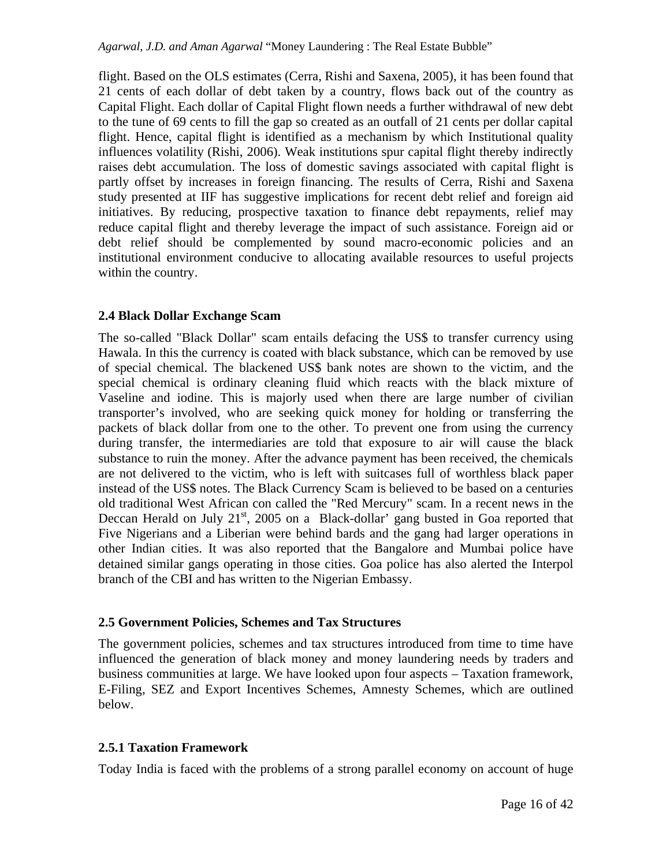flight. Based on the OLS estimates (Cerra, Rishi and Saxena, 2005), it has been found that 21 cents of each dollar of debt taken by a country, flows back out of the country as Capital Flight. Each dollar of Capital Flight flown needs a further withdrawal of new debt to the tune of 69 cents to fill the gap so created as an outfall of 21 cents per dollar capital flight. Hence, capital flight is identified as a mechanism by which Institutional quality influences volatility (Rishi, 2006). Weak institutions spur capital flight thereby indirectly raises debt accumulation. The loss of domestic savings associated with capital flight is partly offset by increases in foreign financing. The results of Cerra, Rishi and Saxena study presented at IIF has suggestive implications for recent debt relief and foreign aid initiatives. By reducing, prospective taxation to finance debt repayments, relief may reduce capital flight and thereby leverage the impact of such assistance. Foreign aid or debt relief should be complemented by sound macro-economic policies and an institutional environment conducive to allocating available resources to useful projects within the country.

## **2.4 Black Dollar Exchange Scam**

The so-called "Black Dollar" scam entails defacing the US\$ to transfer currency using Hawala. In this the currency is coated with black substance, which can be removed by use of special chemical. The blackened US\$ bank notes are shown to the victim, and the special chemical is ordinary cleaning fluid which reacts with the black mixture of Vaseline and iodine. This is majorly used when there are large number of civilian transporter's involved, who are seeking quick money for holding or transferring the packets of black dollar from one to the other. To prevent one from using the currency during transfer, the intermediaries are told that exposure to air will cause the black substance to ruin the money. After the advance payment has been received, the chemicals are not delivered to the victim, who is left with suitcases full of worthless black paper instead of the US\$ notes. The Black Currency Scam is believed to be based on a centuries old traditional West African con called the "Red Mercury" scam. In a recent news in the Deccan Herald on July  $21<sup>st</sup>$ , 2005 on a Black-dollar' gang busted in Goa reported that Five Nigerians and a Liberian were behind bards and the gang had larger operations in other Indian cities. It was also reported that the Bangalore and Mumbai police have detained similar gangs operating in those cities. Goa police has also alerted the Interpol branch of the CBI and has written to the Nigerian Embassy.

#### **2.5 Government Policies, Schemes and Tax Structures**

The government policies, schemes and tax structures introduced from time to time have influenced the generation of black money and money laundering needs by traders and business communities at large. We have looked upon four aspects – Taxation framework, E-Filing, SEZ and Export Incentives Schemes, Amnesty Schemes, which are outlined below.

#### **2.5.1 Taxation Framework**

Today India is faced with the problems of a strong parallel economy on account of huge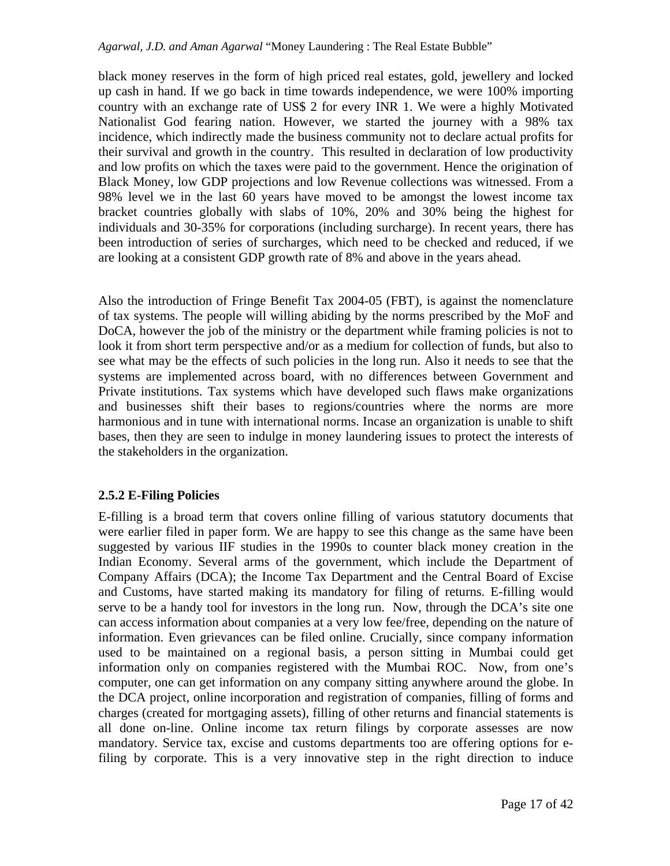black money reserves in the form of high priced real estates, gold, jewellery and locked up cash in hand. If we go back in time towards independence, we were 100% importing country with an exchange rate of US\$ 2 for every INR 1. We were a highly Motivated Nationalist God fearing nation. However, we started the journey with a 98% tax incidence, which indirectly made the business community not to declare actual profits for their survival and growth in the country. This resulted in declaration of low productivity and low profits on which the taxes were paid to the government. Hence the origination of Black Money, low GDP projections and low Revenue collections was witnessed. From a 98% level we in the last 60 years have moved to be amongst the lowest income tax bracket countries globally with slabs of 10%, 20% and 30% being the highest for individuals and 30-35% for corporations (including surcharge). In recent years, there has been introduction of series of surcharges, which need to be checked and reduced, if we are looking at a consistent GDP growth rate of 8% and above in the years ahead.

Also the introduction of Fringe Benefit Tax 2004-05 (FBT), is against the nomenclature of tax systems. The people will willing abiding by the norms prescribed by the MoF and DoCA, however the job of the ministry or the department while framing policies is not to look it from short term perspective and/or as a medium for collection of funds, but also to see what may be the effects of such policies in the long run. Also it needs to see that the systems are implemented across board, with no differences between Government and Private institutions. Tax systems which have developed such flaws make organizations and businesses shift their bases to regions/countries where the norms are more harmonious and in tune with international norms. Incase an organization is unable to shift bases, then they are seen to indulge in money laundering issues to protect the interests of the stakeholders in the organization.

## **2.5.2 E-Filing Policies**

E-filling is a broad term that covers online filling of various statutory documents that were earlier filed in paper form. We are happy to see this change as the same have been suggested by various IIF studies in the 1990s to counter black money creation in the Indian Economy. Several arms of the government, which include the Department of Company Affairs (DCA); the Income Tax Department and the Central Board of Excise and Customs, have started making its mandatory for filing of returns. E-filling would serve to be a handy tool for investors in the long run. Now, through the DCA's site one can access information about companies at a very low fee/free, depending on the nature of information. Even grievances can be filed online. Crucially, since company information used to be maintained on a regional basis, a person sitting in Mumbai could get information only on companies registered with the Mumbai ROC. Now, from one's computer, one can get information on any company sitting anywhere around the globe. In the DCA project, online incorporation and registration of companies, filling of forms and charges (created for mortgaging assets), filling of other returns and financial statements is all done on-line. Online income tax return filings by corporate assesses are now mandatory. Service tax, excise and customs departments too are offering options for efiling by corporate. This is a very innovative step in the right direction to induce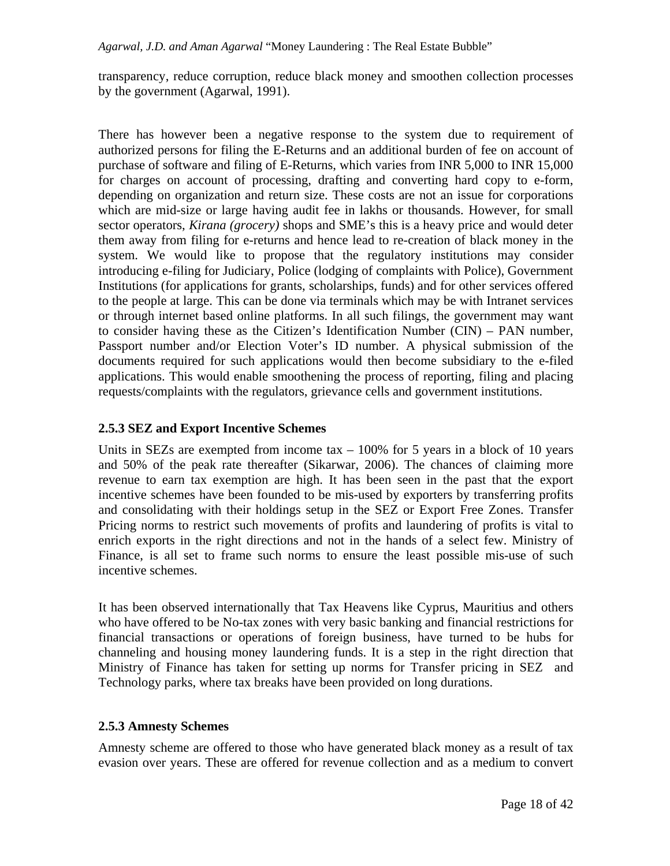transparency, reduce corruption, reduce black money and smoothen collection processes by the government (Agarwal, 1991).

There has however been a negative response to the system due to requirement of authorized persons for filing the E-Returns and an additional burden of fee on account of purchase of software and filing of E-Returns, which varies from INR 5,000 to INR 15,000 for charges on account of processing, drafting and converting hard copy to e-form, depending on organization and return size. These costs are not an issue for corporations which are mid-size or large having audit fee in lakhs or thousands. However, for small sector operators, *Kirana (grocery)* shops and SME's this is a heavy price and would deter them away from filing for e-returns and hence lead to re-creation of black money in the system. We would like to propose that the regulatory institutions may consider introducing e-filing for Judiciary, Police (lodging of complaints with Police), Government Institutions (for applications for grants, scholarships, funds) and for other services offered to the people at large. This can be done via terminals which may be with Intranet services or through internet based online platforms. In all such filings, the government may want to consider having these as the Citizen's Identification Number (CIN) – PAN number, Passport number and/or Election Voter's ID number. A physical submission of the documents required for such applications would then become subsidiary to the e-filed applications. This would enable smoothening the process of reporting, filing and placing requests/complaints with the regulators, grievance cells and government institutions.

## **2.5.3 SEZ and Export Incentive Schemes**

Units in SEZs are exempted from income tax  $-100\%$  for 5 years in a block of 10 years and 50% of the peak rate thereafter (Sikarwar, 2006). The chances of claiming more revenue to earn tax exemption are high. It has been seen in the past that the export incentive schemes have been founded to be mis-used by exporters by transferring profits and consolidating with their holdings setup in the SEZ or Export Free Zones. Transfer Pricing norms to restrict such movements of profits and laundering of profits is vital to enrich exports in the right directions and not in the hands of a select few. Ministry of Finance, is all set to frame such norms to ensure the least possible mis-use of such incentive schemes.

It has been observed internationally that Tax Heavens like Cyprus, Mauritius and others who have offered to be No-tax zones with very basic banking and financial restrictions for financial transactions or operations of foreign business, have turned to be hubs for channeling and housing money laundering funds. It is a step in the right direction that Ministry of Finance has taken for setting up norms for Transfer pricing in SEZ and Technology parks, where tax breaks have been provided on long durations.

#### **2.5.3 Amnesty Schemes**

Amnesty scheme are offered to those who have generated black money as a result of tax evasion over years. These are offered for revenue collection and as a medium to convert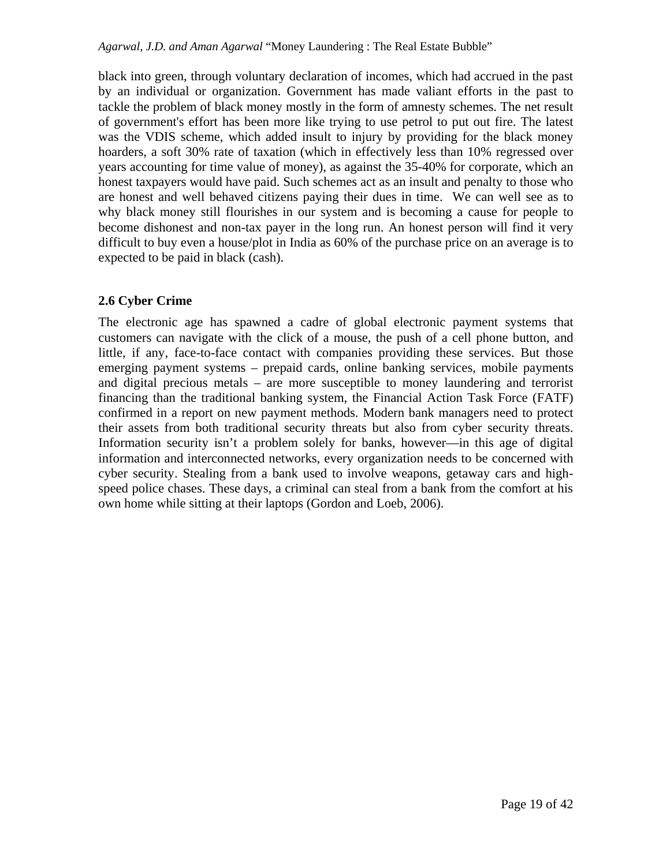black into green, through voluntary declaration of incomes, which had accrued in the past by an individual or organization. Government has made valiant efforts in the past to tackle the problem of black money mostly in the form of amnesty schemes. The net result of government's effort has been more like trying to use petrol to put out fire. The latest was the VDIS scheme, which added insult to injury by providing for the black money hoarders, a soft 30% rate of taxation (which in effectively less than 10% regressed over years accounting for time value of money), as against the 35-40% for corporate, which an honest taxpayers would have paid. Such schemes act as an insult and penalty to those who are honest and well behaved citizens paying their dues in time. We can well see as to why black money still flourishes in our system and is becoming a cause for people to become dishonest and non-tax payer in the long run. An honest person will find it very difficult to buy even a house/plot in India as 60% of the purchase price on an average is to expected to be paid in black (cash).

# **2.6 Cyber Crime**

The electronic age has spawned a cadre of global electronic payment systems that customers can navigate with the click of a mouse, the push of a cell phone button, and little, if any, face-to-face contact with companies providing these services. But those emerging payment systems – prepaid cards, online banking services, mobile payments and digital precious metals – are more susceptible to money laundering and terrorist financing than the traditional banking system, the Financial Action Task Force (FATF) confirmed in a report on new payment methods. Modern bank managers need to protect their assets from both traditional security threats but also from cyber security threats. Information security isn't a problem solely for banks, however—in this age of digital information and interconnected networks, every organization needs to be concerned with cyber security. Stealing from a bank used to involve weapons, getaway cars and highspeed police chases. These days, a criminal can steal from a bank from the comfort at his own home while sitting at their laptops (Gordon and Loeb, 2006).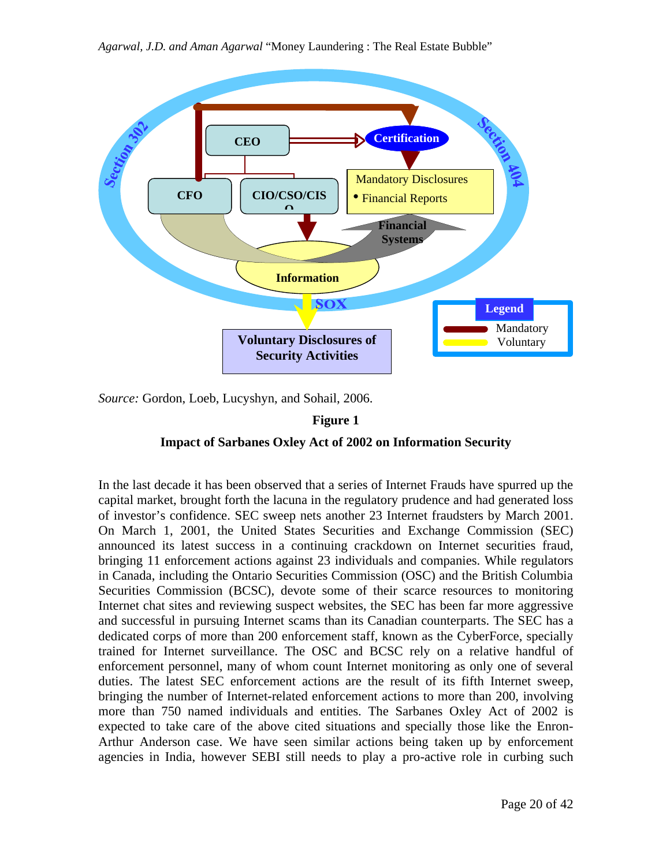

*Source:* Gordon, Loeb, Lucyshyn, and Sohail, 2006.

### **Figure 1**

## **Impact of Sarbanes Oxley Act of 2002 on Information Security**

In the last decade it has been observed that a series of Internet Frauds have spurred up the capital market, brought forth the lacuna in the regulatory prudence and had generated loss of investor's confidence. SEC sweep nets another 23 Internet fraudsters by March 2001. On March 1, 2001, the United States Securities and Exchange Commission (SEC) announced its latest success in a continuing crackdown on Internet securities fraud, bringing 11 enforcement actions against 23 individuals and companies. While regulators in Canada, including the Ontario Securities Commission (OSC) and the British Columbia Securities Commission (BCSC), devote some of their scarce resources to monitoring Internet chat sites and reviewing suspect websites, the SEC has been far more aggressive and successful in pursuing Internet scams than its Canadian counterparts. The SEC has a dedicated corps of more than 200 enforcement staff, known as the CyberForce, specially trained for Internet surveillance. The OSC and BCSC rely on a relative handful of enforcement personnel, many of whom count Internet monitoring as only one of several duties. The latest SEC enforcement actions are the result of its fifth Internet sweep, bringing the number of Internet-related enforcement actions to more than 200, involving more than 750 named individuals and entities. The Sarbanes Oxley Act of 2002 is expected to take care of the above cited situations and specially those like the Enron-Arthur Anderson case. We have seen similar actions being taken up by enforcement agencies in India, however SEBI still needs to play a pro-active role in curbing such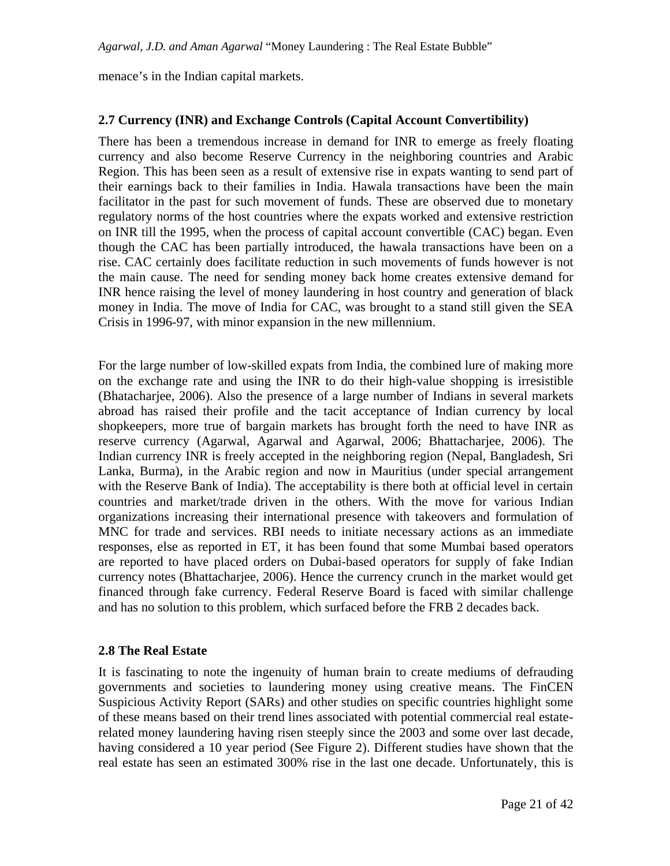menace's in the Indian capital markets.

#### **2.7 Currency (INR) and Exchange Controls (Capital Account Convertibility)**

There has been a tremendous increase in demand for INR to emerge as freely floating currency and also become Reserve Currency in the neighboring countries and Arabic Region. This has been seen as a result of extensive rise in expats wanting to send part of their earnings back to their families in India. Hawala transactions have been the main facilitator in the past for such movement of funds. These are observed due to monetary regulatory norms of the host countries where the expats worked and extensive restriction on INR till the 1995, when the process of capital account convertible (CAC) began. Even though the CAC has been partially introduced, the hawala transactions have been on a rise. CAC certainly does facilitate reduction in such movements of funds however is not the main cause. The need for sending money back home creates extensive demand for INR hence raising the level of money laundering in host country and generation of black money in India. The move of India for CAC, was brought to a stand still given the SEA Crisis in 1996-97, with minor expansion in the new millennium.

For the large number of low-skilled expats from India, the combined lure of making more on the exchange rate and using the INR to do their high-value shopping is irresistible (Bhatacharjee, 2006). Also the presence of a large number of Indians in several markets abroad has raised their profile and the tacit acceptance of Indian currency by local shopkeepers, more true of bargain markets has brought forth the need to have INR as reserve currency (Agarwal, Agarwal and Agarwal, 2006; Bhattacharjee, 2006). The Indian currency INR is freely accepted in the neighboring region (Nepal, Bangladesh, Sri Lanka, Burma), in the Arabic region and now in Mauritius (under special arrangement with the Reserve Bank of India). The acceptability is there both at official level in certain countries and market/trade driven in the others. With the move for various Indian organizations increasing their international presence with takeovers and formulation of MNC for trade and services. RBI needs to initiate necessary actions as an immediate responses, else as reported in ET, it has been found that some Mumbai based operators are reported to have placed orders on Dubai-based operators for supply of fake Indian currency notes (Bhattacharjee, 2006). Hence the currency crunch in the market would get financed through fake currency. Federal Reserve Board is faced with similar challenge and has no solution to this problem, which surfaced before the FRB 2 decades back.

#### **2.8 The Real Estate**

It is fascinating to note the ingenuity of human brain to create mediums of defrauding governments and societies to laundering money using creative means. The FinCEN Suspicious Activity Report (SARs) and other studies on specific countries highlight some of these means based on their trend lines associated with potential commercial real estaterelated money laundering having risen steeply since the 2003 and some over last decade, having considered a 10 year period (See Figure 2). Different studies have shown that the real estate has seen an estimated 300% rise in the last one decade. Unfortunately, this is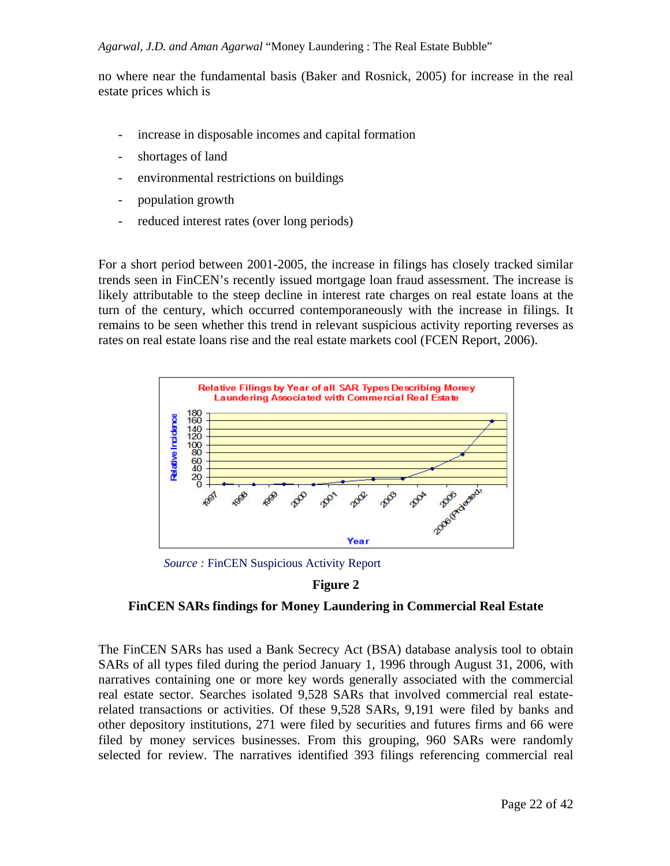no where near the fundamental basis (Baker and Rosnick, 2005) for increase in the real estate prices which is

- increase in disposable incomes and capital formation
- shortages of land
- environmental restrictions on buildings
- population growth
- reduced interest rates (over long periods)

For a short period between 2001-2005, the increase in filings has closely tracked similar trends seen in FinCEN's recently issued mortgage loan fraud assessment. The increase is likely attributable to the steep decline in interest rate charges on real estate loans at the turn of the century, which occurred contemporaneously with the increase in filings. It remains to be seen whether this trend in relevant suspicious activity reporting reverses as rates on real estate loans rise and the real estate markets cool (FCEN Report, 2006).



*Source :* FinCEN Suspicious Activity Report

## **Figure 2**

## **FinCEN SARs findings for Money Laundering in Commercial Real Estate**

The FinCEN SARs has used a Bank Secrecy Act (BSA) database analysis tool to obtain SARs of all types filed during the period January 1, 1996 through August 31, 2006, with narratives containing one or more key words generally associated with the commercial real estate sector. Searches isolated 9,528 SARs that involved commercial real estaterelated transactions or activities. Of these 9,528 SARs, 9,191 were filed by banks and other depository institutions, 271 were filed by securities and futures firms and 66 were filed by money services businesses. From this grouping, 960 SARs were randomly selected for review. The narratives identified 393 filings referencing commercial real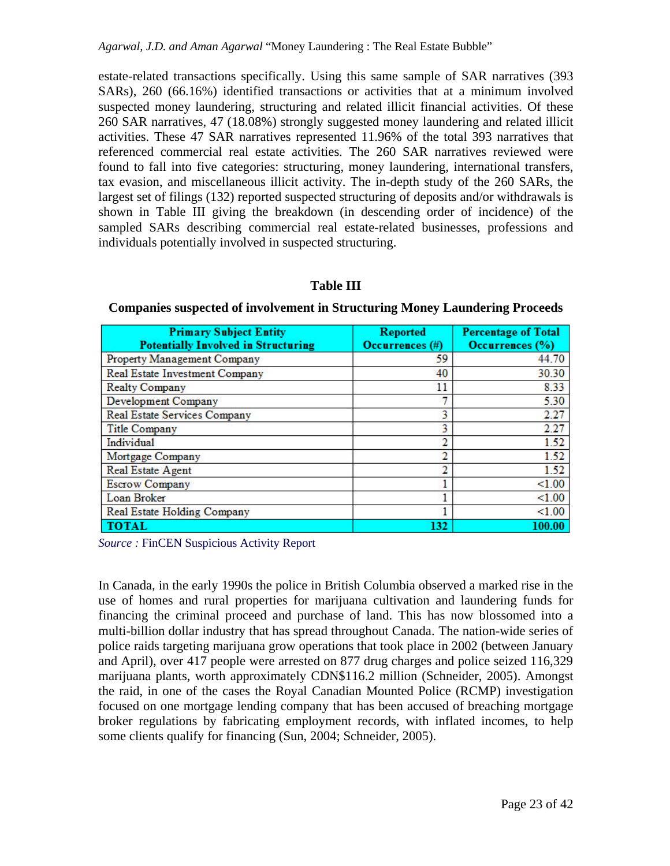estate-related transactions specifically. Using this same sample of SAR narratives (393 SARs), 260 (66.16%) identified transactions or activities that at a minimum involved suspected money laundering, structuring and related illicit financial activities. Of these 260 SAR narratives, 47 (18.08%) strongly suggested money laundering and related illicit activities. These 47 SAR narratives represented 11.96% of the total 393 narratives that referenced commercial real estate activities. The 260 SAR narratives reviewed were found to fall into five categories: structuring, money laundering, international transfers, tax evasion, and miscellaneous illicit activity. The in-depth study of the 260 SARs, the largest set of filings (132) reported suspected structuring of deposits and/or withdrawals is shown in Table III giving the breakdown (in descending order of incidence) of the sampled SARs describing commercial real estate-related businesses, professions and individuals potentially involved in suspected structuring.

#### **Table III**

| <b>Primary Subject Entity</b><br><b>Potentially Involved in Structuring</b> | <b>Reported</b><br>Occurrences (#) | <b>Percentage of Total</b><br>Occurrences (%) |  |
|-----------------------------------------------------------------------------|------------------------------------|-----------------------------------------------|--|
| Property Management Company                                                 | 59                                 | 44.70                                         |  |
| Real Estate Investment Company                                              | 40                                 | 30.30                                         |  |
| <b>Realty Company</b>                                                       | 11                                 | 8.33                                          |  |
| <b>Development Company</b>                                                  |                                    | 5.30                                          |  |
| Real Estate Services Company                                                | 3                                  | 2.27                                          |  |
| <b>Title Company</b>                                                        | ٩                                  | 2.27                                          |  |
| Individual                                                                  |                                    | 1.52                                          |  |
| Mortgage Company                                                            |                                    | 1.52                                          |  |
| Real Estate Agent                                                           |                                    | 1.52                                          |  |
| <b>Escrow Company</b>                                                       |                                    | < 1.00                                        |  |
| Loan Broker                                                                 |                                    | < 1.00                                        |  |
| <b>Real Estate Holding Company</b>                                          |                                    | < 1.00                                        |  |
| <b>TOTAL</b>                                                                | 132                                | 100.00                                        |  |

**Companies suspected of involvement in Structuring Money Laundering Proceeds**

*Source :* FinCEN Suspicious Activity Report

In Canada, in the early 1990s the police in British Columbia observed a marked rise in the use of homes and rural properties for marijuana cultivation and laundering funds for financing the criminal proceed and purchase of land. This has now blossomed into a multi-billion dollar industry that has spread throughout Canada. The nation-wide series of police raids targeting marijuana grow operations that took place in 2002 (between January and April), over 417 people were arrested on 877 drug charges and police seized 116,329 marijuana plants, worth approximately CDN\$116.2 million (Schneider, 2005). Amongst the raid, in one of the cases the Royal Canadian Mounted Police (RCMP) investigation focused on one mortgage lending company that has been accused of breaching mortgage broker regulations by fabricating employment records, with inflated incomes, to help some clients qualify for financing (Sun, 2004; Schneider, 2005).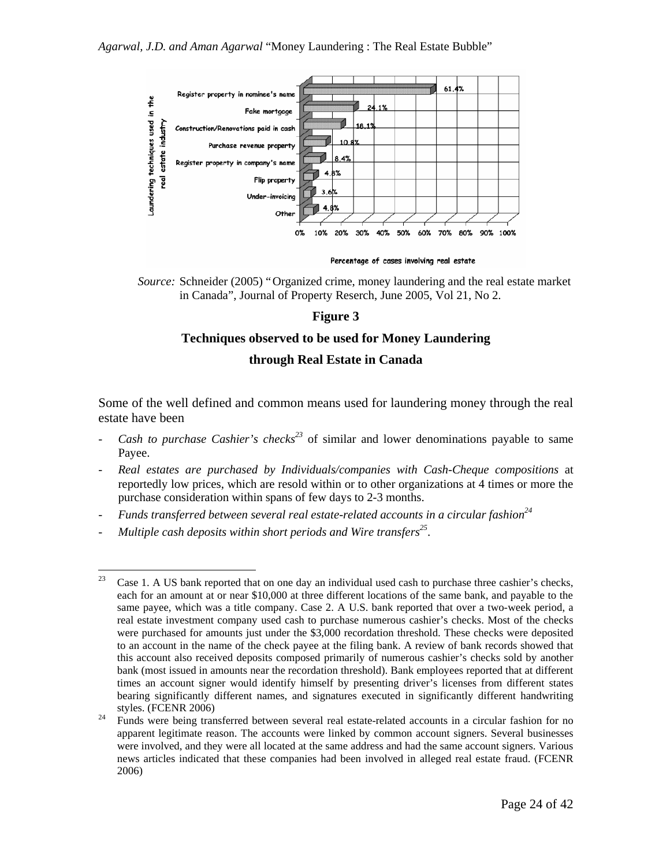

*Source:* Schneider (2005) "Organized crime, money laundering and the real estate market in Canada", Journal of Property Reserch, June 2005, Vol 21, No 2.

# **Figure 3**

## **Techniques observed to be used for Money Laundering**

### **through Real Estate in Canada**

Some of the well defined and common means used for laundering money through the real estate have been

- *Cash to purchase Cashier's checks*<sup>23</sup> of similar and lower denominations payable to same Payee.
- *Real estates are purchased by Individuals/companies with Cash-Cheque compositions* at reportedly low prices, which are resold within or to other organizations at 4 times or more the purchase consideration within spans of few days to 2-3 months.
- *Funds transferred between several real estate-related accounts in a circular fashion<sup>24</sup>*
- *Multiple cash deposits within short periods and Wire transfers<sup>25</sup>* .

 $\overline{a}$ <sup>23</sup> Case 1. A US bank reported that on one day an individual used cash to purchase three cashier's checks, each for an amount at or near \$10,000 at three different locations of the same bank, and payable to the same payee, which was a title company. Case 2. A U.S. bank reported that over a two-week period, a real estate investment company used cash to purchase numerous cashier's checks. Most of the checks were purchased for amounts just under the \$3,000 recordation threshold. These checks were deposited to an account in the name of the check payee at the filing bank. A review of bank records showed that this account also received deposits composed primarily of numerous cashier's checks sold by another bank (most issued in amounts near the recordation threshold). Bank employees reported that at different times an account signer would identify himself by presenting driver's licenses from different states bearing significantly different names, and signatures executed in significantly different handwriting styles. (FCENR 2006)

<sup>&</sup>lt;sup>24</sup> Funds were being transferred between several real estate-related accounts in a circular fashion for no apparent legitimate reason. The accounts were linked by common account signers. Several businesses were involved, and they were all located at the same address and had the same account signers. Various news articles indicated that these companies had been involved in alleged real estate fraud. (FCENR 2006)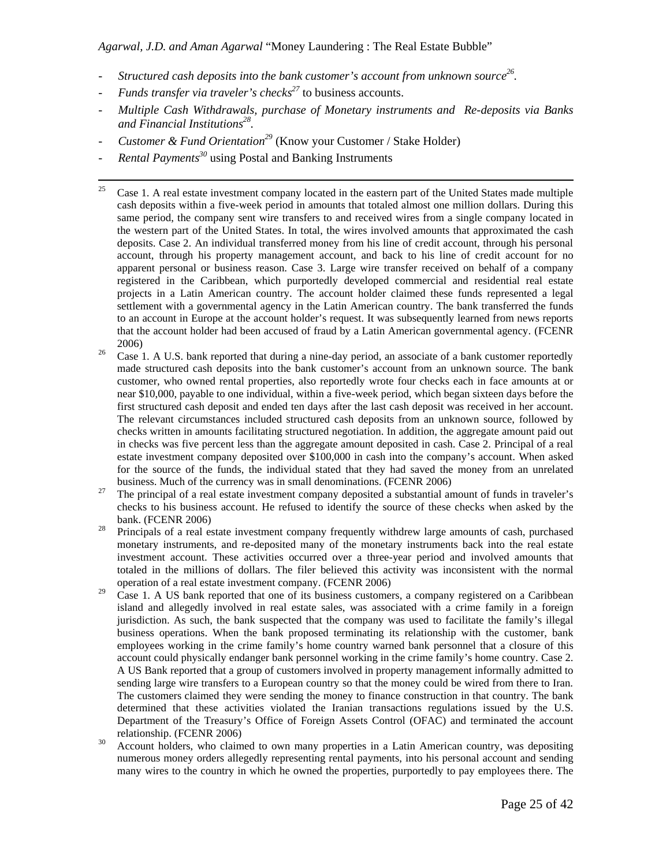- *Structured cash deposits into the bank customer's account from unknown source<sup>26</sup> .*
- *Funds transfer via traveler's checks<sup>27</sup> to business accounts.*
- *Multiple Cash Withdrawals, purchase of Monetary instruments and Re-deposits via Banks and Financial Institutions<sup>28</sup> .*
- *Customer & Fund Orientation<sup>29</sup>* (Know your Customer / Stake Holder)
- *Rental Payments<sup>30</sup>* using Postal and Banking Instruments
- 25 <sup>25</sup> Case 1. A real estate investment company located in the eastern part of the United States made multiple cash deposits within a five-week period in amounts that totaled almost one million dollars. During this same period, the company sent wire transfers to and received wires from a single company located in the western part of the United States. In total, the wires involved amounts that approximated the cash deposits. Case 2. An individual transferred money from his line of credit account, through his personal account, through his property management account, and back to his line of credit account for no apparent personal or business reason. Case 3. Large wire transfer received on behalf of a company registered in the Caribbean, which purportedly developed commercial and residential real estate projects in a Latin American country. The account holder claimed these funds represented a legal settlement with a governmental agency in the Latin American country. The bank transferred the funds to an account in Europe at the account holder's request. It was subsequently learned from news reports that the account holder had been accused of fraud by a Latin American governmental agency. (FCENR 2006)
- <sup>26</sup> Case 1. A U.S. bank reported that during a nine-day period, an associate of a bank customer reportedly made structured cash deposits into the bank customer's account from an unknown source. The bank customer, who owned rental properties, also reportedly wrote four checks each in face amounts at or near \$10,000, payable to one individual, within a five-week period, which began sixteen days before the first structured cash deposit and ended ten days after the last cash deposit was received in her account. The relevant circumstances included structured cash deposits from an unknown source, followed by checks written in amounts facilitating structured negotiation. In addition, the aggregate amount paid out in checks was five percent less than the aggregate amount deposited in cash. Case 2. Principal of a real estate investment company deposited over \$100,000 in cash into the company's account. When asked for the source of the funds, the individual stated that they had saved the money from an unrelated business. Much of the currency was in small denominations. (FCENR 2006)
- <sup>27</sup> The principal of a real estate investment company deposited a substantial amount of funds in traveler's checks to his business account. He refused to identify the source of these checks when asked by the bank. (FCENR 2006)
- <sup>28</sup> Principals of a real estate investment company frequently withdrew large amounts of cash, purchased monetary instruments, and re-deposited many of the monetary instruments back into the real estate investment account. These activities occurred over a three-year period and involved amounts that totaled in the millions of dollars. The filer believed this activity was inconsistent with the normal operation of a real estate investment company. (FCENR 2006)
- $^{29}$  Case 1. A US bank reported that one of its business customers, a company registered on a Caribbean island and allegedly involved in real estate sales, was associated with a crime family in a foreign jurisdiction. As such, the bank suspected that the company was used to facilitate the family's illegal business operations. When the bank proposed terminating its relationship with the customer, bank employees working in the crime family's home country warned bank personnel that a closure of this account could physically endanger bank personnel working in the crime family's home country. Case 2. A US Bank reported that a group of customers involved in property management informally admitted to sending large wire transfers to a European country so that the money could be wired from there to Iran. The customers claimed they were sending the money to finance construction in that country. The bank determined that these activities violated the Iranian transactions regulations issued by the U.S. Department of the Treasury's Office of Foreign Assets Control (OFAC) and terminated the account relationship. (FCENR 2006)
- <sup>30</sup> Account holders, who claimed to own many properties in a Latin American country, was depositing numerous money orders allegedly representing rental payments, into his personal account and sending many wires to the country in which he owned the properties, purportedly to pay employees there. The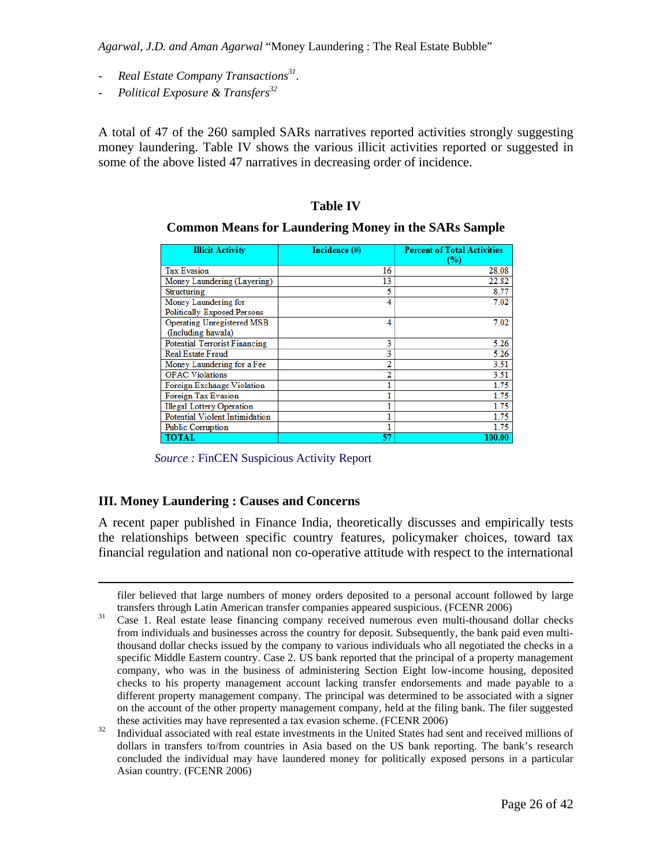- *Real Estate Company Transactions<sup>31</sup>* .
- *Political Exposure & Transfers<sup>32</sup>*

A total of 47 of the 260 sampled SARs narratives reported activities strongly suggesting money laundering. Table IV shows the various illicit activities reported or suggested in some of the above listed 47 narratives in decreasing order of incidence.

#### **Table IV**

#### **Common Means for Laundering Money in the SARs Sample**

| <b>Illicit Activity</b>                                    | Incidence (#) | <b>Percent of Total Activities</b><br>$(\%)$ |
|------------------------------------------------------------|---------------|----------------------------------------------|
| <b>Tax Evasion</b>                                         | 16            | 28.08                                        |
| Money Laundering (Layering)                                | 13            | 22.82                                        |
| Structuring                                                | 5             | 8.77                                         |
| Money Laundering for<br><b>Politically Exposed Persons</b> | 4             | 7.02                                         |
| Operating Unregistered MSB<br>(Including hawala)           | 4             | 7.02                                         |
| <b>Potential Terrorist Financing</b>                       | 3             | 5.26                                         |
| <b>Real Estate Fraud</b>                                   | 3             | 5.26                                         |
| Money Laundering for a Fee                                 | 2             | 3.51                                         |
| <b>OFAC Violations</b>                                     | 2             | 3.51                                         |
| <b>Foreign Exchange Violation</b>                          |               | 1.75                                         |
| Foreign Tax Evasion                                        |               | 1.75                                         |
| <b>Illegal Lottery Operation</b>                           |               | 1.75                                         |
| <b>Potential Violent Intimidation</b>                      |               | 1.75                                         |
| <b>Public Corruption</b>                                   |               | 1.75                                         |
| <b>TOTAL</b>                                               | 57            | 100.00                                       |

*Source :* FinCEN Suspicious Activity Report

#### **III. Money Laundering : Causes and Concerns**

1

A recent paper published in Finance India, theoretically discusses and empirically tests the relationships between specific country features, policymaker choices, toward tax financial regulation and national non co-operative attitude with respect to the international

filer believed that large numbers of money orders deposited to a personal account followed by large transfers through Latin American transfer companies appeared suspicious. (FCENR 2006)

<sup>&</sup>lt;sup>31</sup> Case 1. Real estate lease financing company received numerous even multi-thousand dollar checks from individuals and businesses across the country for deposit. Subsequently, the bank paid even multithousand dollar checks issued by the company to various individuals who all negotiated the checks in a specific Middle Eastern country. Case 2. US bank reported that the principal of a property management company, who was in the business of administering Section Eight low-income housing, deposited checks to his property management account lacking transfer endorsements and made payable to a different property management company. The principal was determined to be associated with a signer on the account of the other property management company, held at the filing bank. The filer suggested these activities may have represented a tax evasion scheme. (FCENR 2006)

<sup>32</sup> Individual associated with real estate investments in the United States had sent and received millions of dollars in transfers to/from countries in Asia based on the US bank reporting. The bank's research concluded the individual may have laundered money for politically exposed persons in a particular Asian country. (FCENR 2006)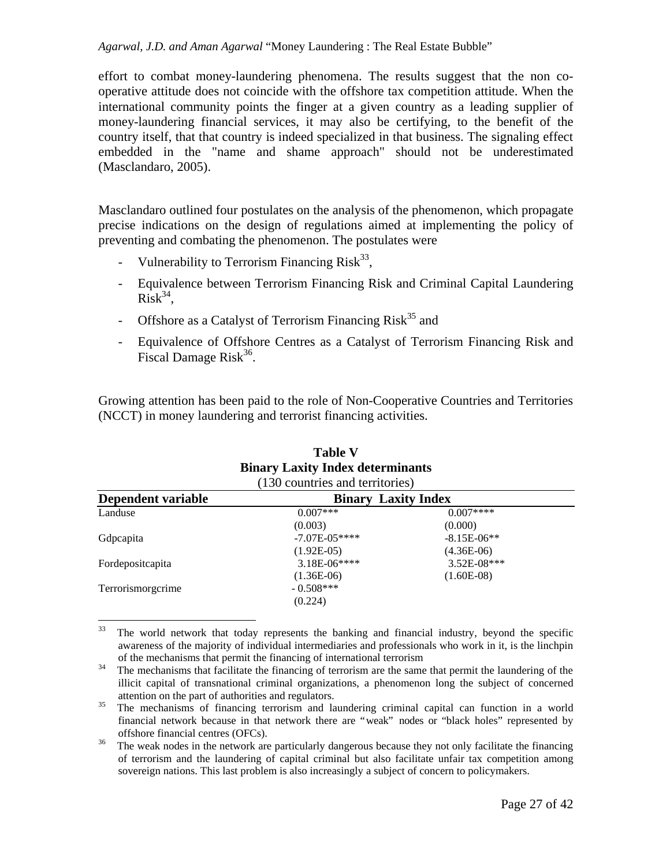effort to combat money-laundering phenomena. The results suggest that the non cooperative attitude does not coincide with the offshore tax competition attitude. When the international community points the finger at a given country as a leading supplier of money-laundering financial services, it may also be certifying, to the benefit of the country itself, that that country is indeed specialized in that business. The signaling effect embedded in the "name and shame approach" should not be underestimated (Masclandaro, 2005).

Masclandaro outlined four postulates on the analysis of the phenomenon, which propagate precise indications on the design of regulations aimed at implementing the policy of preventing and combating the phenomenon. The postulates were

- Vulnerability to Terrorism Financing Risk<sup>33</sup>,
- Equivalence between Terrorism Financing Risk and Criminal Capital Laundering  $Risk^{34}$ ,
- Offshore as a Catalyst of Terrorism Financing  $Risk^{35}$  and
- Equivalence of Offshore Centres as a Catalyst of Terrorism Financing Risk and Fiscal Damage Risk $36$ .

Growing attention has been paid to the role of Non-Cooperative Countries and Territories (NCCT) in money laundering and terrorist financing activities.

| (130 countries and territories) |               |                            |  |  |
|---------------------------------|---------------|----------------------------|--|--|
|                                 |               |                            |  |  |
| $0.007***$                      | $0.007***$    |                            |  |  |
| (0.003)                         | (0.000)       |                            |  |  |
| $-7.07E - 05***$                | $-8.15E-06**$ |                            |  |  |
| $(1.92E-05)$                    | $(4.36E-06)$  |                            |  |  |
| $3.18E-06***$                   | $3.52E-08***$ |                            |  |  |
| $(1.36E-06)$                    | $(1.60E-08)$  |                            |  |  |
| $-0.508***$                     |               |                            |  |  |
| (0.224)                         |               |                            |  |  |
|                                 |               | <b>Binary Laxity Index</b> |  |  |

# **Table V Binary Laxity Index determinants**

<sup>33</sup> <sup>33</sup> The world network that today represents the banking and financial industry, beyond the specific awareness of the majority of individual intermediaries and professionals who work in it, is the linchpin of the mechanisms that permit the financing of international terrorism

<sup>&</sup>lt;sup>34</sup> The mechanisms that facilitate the financing of terrorism are the same that permit the laundering of the illicit capital of transnational criminal organizations, a phenomenon long the subject of concerned attention on the part of authorities and regulators.

<sup>&</sup>lt;sup>35</sup> The mechanisms of financing terrorism and laundering criminal capital can function in a world financial network because in that network there are "weak" nodes or "black holes" represented by offshore financial centres (OFCs).

<sup>&</sup>lt;sup>36</sup> The weak nodes in the network are particularly dangerous because they not only facilitate the financing of terrorism and the laundering of capital criminal but also facilitate unfair tax competition among sovereign nations. This last problem is also increasingly a subject of concern to policymakers.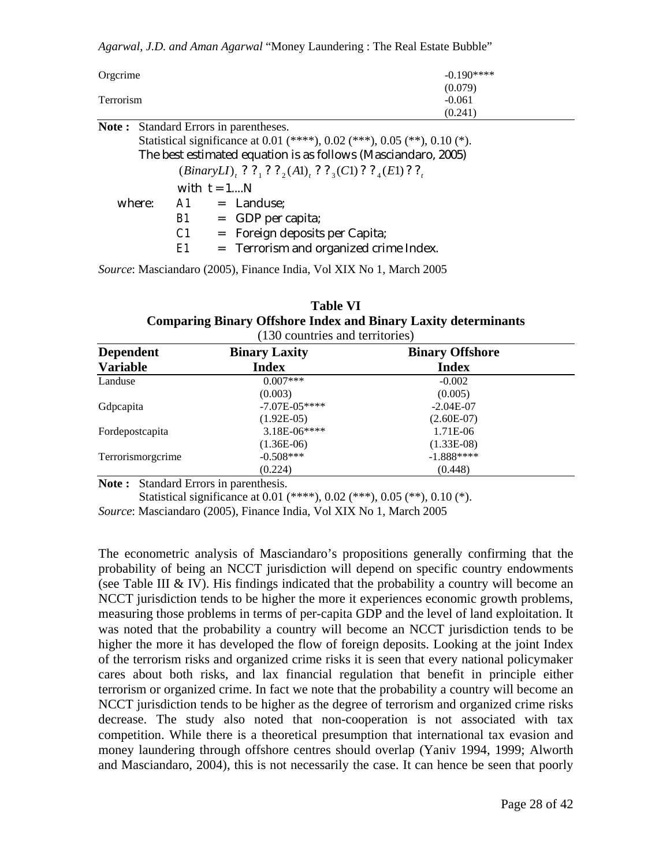| Orgcrime         |    |               |                                                                                  | $-0.190***$                                                               |
|------------------|----|---------------|----------------------------------------------------------------------------------|---------------------------------------------------------------------------|
|                  |    |               |                                                                                  | (0.079)                                                                   |
| <b>Terrorism</b> |    |               |                                                                                  | $-0.061$                                                                  |
|                  |    |               |                                                                                  | (0.241)                                                                   |
| Note :           |    |               | Standard Errors in parentheses.                                                  |                                                                           |
|                  |    |               |                                                                                  | Statistical significance at 0.01 (****), 0.02 (***), 0.05 (**), 0.10 (*). |
|                  |    |               |                                                                                  | The best estimated equation is as follows (Masciandaro, 2005)             |
|                  |    |               | <i>(BinaryLI), ?</i> ?, ? ?, <i>(A1), ?</i> ?, <i>(C1)</i> ? ?, <i>(E1)</i> ? ?, |                                                                           |
|                  |    | with $t = 1N$ |                                                                                  |                                                                           |
| where:           |    |               | $A1 =$ Landuse;                                                                  |                                                                           |
|                  | B1 |               | $=$ GDP per capita;                                                              |                                                                           |

*E1* = Terrorism and organized crime Index.

*C1* = Foreign deposits per Capita;

*Source*: Masciandaro (2005), Finance India, Vol XIX No 1, March 2005

| <b>Table VI</b>                                                       |
|-----------------------------------------------------------------------|
| <b>Comparing Binary Offshore Index and Binary Laxity determinants</b> |
| $(130$ countries and territories)                                     |

| <b>Binary Laxity</b> | <b>Binary Offshore</b> |  |
|----------------------|------------------------|--|
| <b>Index</b>         | <b>Index</b>           |  |
| $0.007***$           | $-0.002$               |  |
| (0.003)              | (0.005)                |  |
| $-7.07E - 05***$     | $-2.04E-07$            |  |
| $(1.92E-05)$         | $(2.60E-07)$           |  |
| 3.18E-06****         | 1.71E-06               |  |
| $(1.36E-06)$         | $(1.33E-08)$           |  |
| $-0.508***$          | $-1.888***$            |  |
| (0.224)              | (0.448)                |  |
|                      |                        |  |

**Note :** Standard Errors in parenthesis.

Statistical significance at 0.01 (\*\*\*\*), 0.02 (\*\*\*), 0.05 (\*\*), 0.10 (\*).

*Source*: Masciandaro (2005), Finance India, Vol XIX No 1, March 2005

The econometric analysis of Masciandaro's propositions generally confirming that the probability of being an NCCT jurisdiction will depend on specific country endowments (see Table III & IV). His findings indicated that the probability a country will become an NCCT jurisdiction tends to be higher the more it experiences economic growth problems, measuring those problems in terms of per-capita GDP and the level of land exploitation. It was noted that the probability a country will become an NCCT jurisdiction tends to be higher the more it has developed the flow of foreign deposits. Looking at the joint Index of the terrorism risks and organized crime risks it is seen that every national policymaker cares about both risks, and lax financial regulation that benefit in principle either terrorism or organized crime. In fact we note that the probability a country will become an NCCT jurisdiction tends to be higher as the degree of terrorism and organized crime risks decrease. The study also noted that non-cooperation is not associated with tax competition. While there is a theoretical presumption that international tax evasion and money laundering through offshore centres should overlap (Yaniv 1994, 1999; Alworth and Masciandaro, 2004), this is not necessarily the case. It can hence be seen that poorly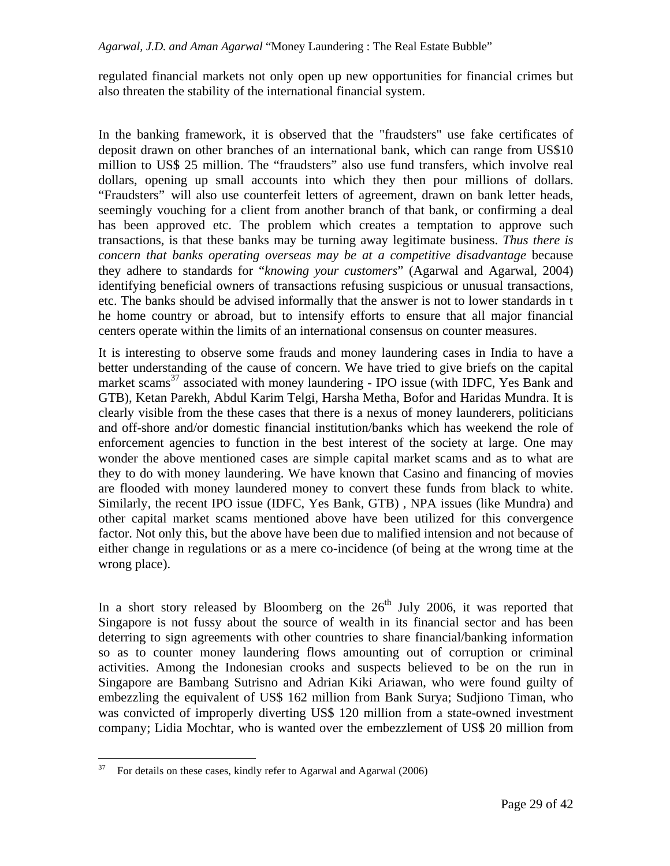regulated financial markets not only open up new opportunities for financial crimes but also threaten the stability of the international financial system.

In the banking framework, it is observed that the "fraudsters" use fake certificates of deposit drawn on other branches of an international bank, which can range from US\$10 million to US\$ 25 million. The "fraudsters" also use fund transfers, which involve real dollars, opening up small accounts into which they then pour millions of dollars. "Fraudsters" will also use counterfeit letters of agreement, drawn on bank letter heads, seemingly vouching for a client from another branch of that bank, or confirming a deal has been approved etc. The problem which creates a temptation to approve such transactions, is that these banks may be turning away legitimate business. *Thus there is concern that banks operating overseas may be at a competitive disadvantage* because they adhere to standards for "*knowing your customers*" (Agarwal and Agarwal, 2004) identifying beneficial owners of transactions refusing suspicious or unusual transactions, etc. The banks should be advised informally that the answer is not to lower standards in t he home country or abroad, but to intensify efforts to ensure that all major financial centers operate within the limits of an international consensus on counter measures.

It is interesting to observe some frauds and money laundering cases in India to have a better understanding of the cause of concern. We have tried to give briefs on the capital market scams<sup>37</sup> associated with money laundering - IPO issue (with IDFC, Yes Bank and GTB), Ketan Parekh, Abdul Karim Telgi, Harsha Metha, Bofor and Haridas Mundra. It is clearly visible from the these cases that there is a nexus of money launderers, politicians and off-shore and/or domestic financial institution/banks which has weekend the role of enforcement agencies to function in the best interest of the society at large. One may wonder the above mentioned cases are simple capital market scams and as to what are they to do with money laundering. We have known that Casino and financing of movies are flooded with money laundered money to convert these funds from black to white. Similarly, the recent IPO issue (IDFC, Yes Bank, GTB) , NPA issues (like Mundra) and other capital market scams mentioned above have been utilized for this convergence factor. Not only this, but the above have been due to malified intension and not because of either change in regulations or as a mere co-incidence (of being at the wrong time at the wrong place).

In a short story released by Bloomberg on the  $26<sup>th</sup>$  July 2006, it was reported that Singapore is not fussy about the source of wealth in its financial sector and has been deterring to sign agreements with other countries to share financial/banking information so as to counter money laundering flows amounting out of corruption or criminal activities. Among the Indonesian crooks and suspects believed to be on the run in Singapore are Bambang Sutrisno and Adrian Kiki Ariawan, who were found guilty of embezzling the equivalent of US\$ 162 million from Bank Surya; Sudjiono Timan, who was convicted of improperly diverting US\$ 120 million from a state-owned investment company; Lidia Mochtar, who is wanted over the embezzlement of US\$ 20 million from

<sup>37</sup> <sup>37</sup> For details on these cases, kindly refer to Agarwal and Agarwal (2006)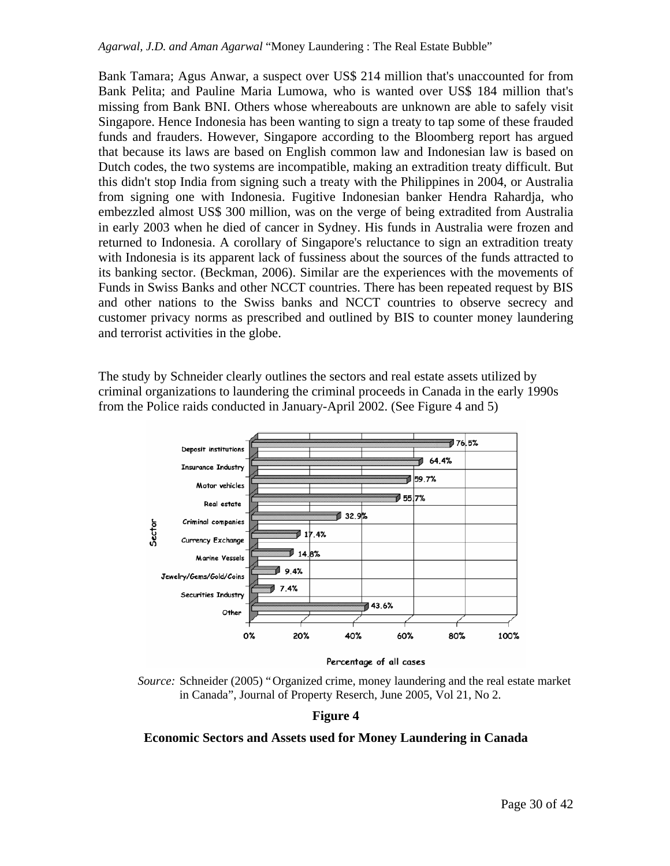Bank Tamara; Agus Anwar, a suspect over US\$ 214 million that's unaccounted for from Bank Pelita; and Pauline Maria Lumowa, who is wanted over US\$ 184 million that's missing from Bank BNI. Others whose whereabouts are unknown are able to safely visit Singapore. Hence Indonesia has been wanting to sign a treaty to tap some of these frauded funds and frauders. However, Singapore according to the Bloomberg report has argued that because its laws are based on English common law and Indonesian law is based on Dutch codes, the two systems are incompatible, making an extradition treaty difficult. But this didn't stop India from signing such a treaty with the Philippines in 2004, or Australia from signing one with Indonesia. Fugitive Indonesian banker Hendra Rahardja, who embezzled almost US\$ 300 million, was on the verge of being extradited from Australia in early 2003 when he died of cancer in Sydney. His funds in Australia were frozen and returned to Indonesia. A corollary of Singapore's reluctance to sign an extradition treaty with Indonesia is its apparent lack of fussiness about the sources of the funds attracted to its banking sector. (Beckman, 2006). Similar are the experiences with the movements of Funds in Swiss Banks and other NCCT countries. There has been repeated request by BIS and other nations to the Swiss banks and NCCT countries to observe secrecy and customer privacy norms as prescribed and outlined by BIS to counter money laundering and terrorist activities in the globe.

The study by Schneider clearly outlines the sectors and real estate assets utilized by criminal organizations to laundering the criminal proceeds in Canada in the early 1990s from the Police raids conducted in January-April 2002. (See Figure 4 and 5)



Percentage of all cases

*Source:* Schneider (2005) "Organized crime, money laundering and the real estate market in Canada", Journal of Property Reserch, June 2005, Vol 21, No 2.

#### **Figure 4**

#### **Economic Sectors and Assets used for Money Laundering in Canada**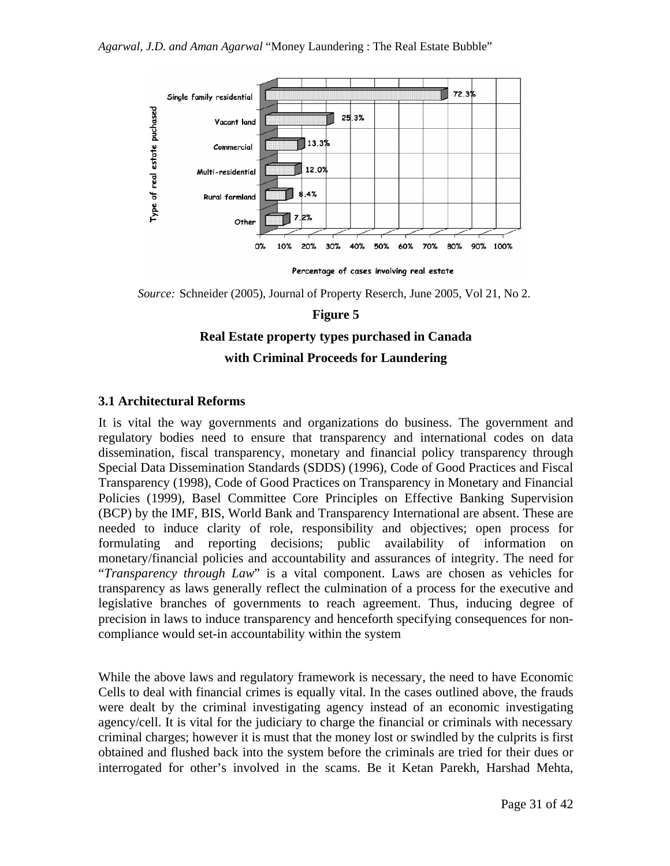

Percentage of cases involving real estate

*Source:* Schneider (2005), Journal of Property Reserch, June 2005, Vol 21, No 2.

### **Figure 5**

# **Real Estate property types purchased in Canada**

### **with Criminal Proceeds for Laundering**

## **3.1 Architectural Reforms**

It is vital the way governments and organizations do business. The government and regulatory bodies need to ensure that transparency and international codes on data dissemination, fiscal transparency, monetary and financial policy transparency through Special Data Dissemination Standards (SDDS) (1996), Code of Good Practices and Fiscal Transparency (1998), Code of Good Practices on Transparency in Monetary and Financial Policies (1999), Basel Committee Core Principles on Effective Banking Supervision (BCP) by the IMF, BIS, World Bank and Transparency International are absent. These are needed to induce clarity of role, responsibility and objectives; open process for formulating and reporting decisions; public availability of information on monetary/financial policies and accountability and assurances of integrity. The need for "*Transparency through Law*" is a vital component. Laws are chosen as vehicles for transparency as laws generally reflect the culmination of a process for the executive and legislative branches of governments to reach agreement. Thus, inducing degree of precision in laws to induce transparency and henceforth specifying consequences for noncompliance would set-in accountability within the system

While the above laws and regulatory framework is necessary, the need to have Economic Cells to deal with financial crimes is equally vital. In the cases outlined above, the frauds were dealt by the criminal investigating agency instead of an economic investigating agency/cell. It is vital for the judiciary to charge the financial or criminals with necessary criminal charges; however it is must that the money lost or swindled by the culprits is first obtained and flushed back into the system before the criminals are tried for their dues or interrogated for other's involved in the scams. Be it Ketan Parekh, Harshad Mehta,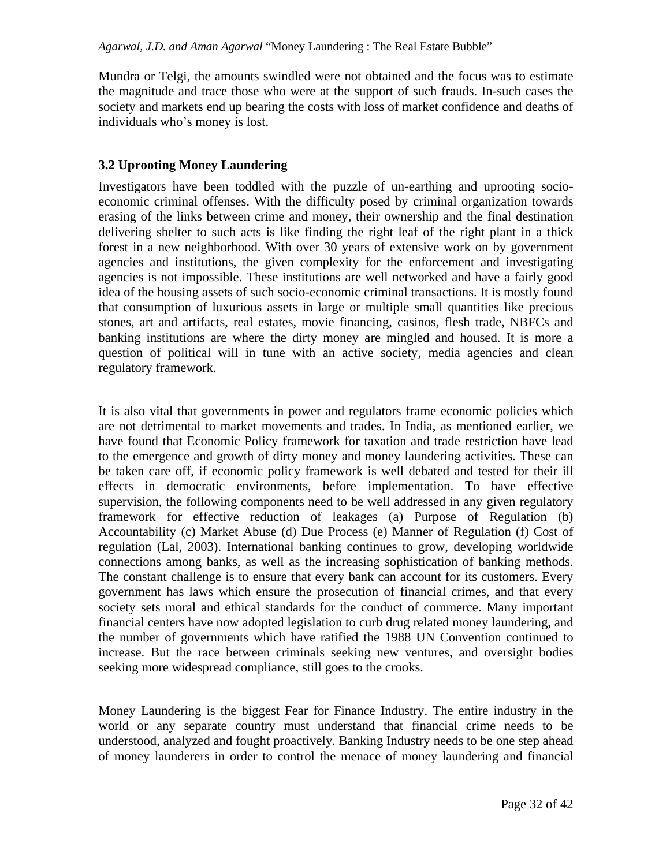Mundra or Telgi, the amounts swindled were not obtained and the focus was to estimate the magnitude and trace those who were at the support of such frauds. In-such cases the society and markets end up bearing the costs with loss of market confidence and deaths of individuals who's money is lost.

## **3.2 Uprooting Money Laundering**

Investigators have been toddled with the puzzle of un-earthing and uprooting socioeconomic criminal offenses. With the difficulty posed by criminal organization towards erasing of the links between crime and money, their ownership and the final destination delivering shelter to such acts is like finding the right leaf of the right plant in a thick forest in a new neighborhood. With over 30 years of extensive work on by government agencies and institutions, the given complexity for the enforcement and investigating agencies is not impossible. These institutions are well networked and have a fairly good idea of the housing assets of such socio-economic criminal transactions. It is mostly found that consumption of luxurious assets in large or multiple small quantities like precious stones, art and artifacts, real estates, movie financing, casinos, flesh trade, NBFCs and banking institutions are where the dirty money are mingled and housed. It is more a question of political will in tune with an active society, media agencies and clean regulatory framework.

It is also vital that governments in power and regulators frame economic policies which are not detrimental to market movements and trades. In India, as mentioned earlier, we have found that Economic Policy framework for taxation and trade restriction have lead to the emergence and growth of dirty money and money laundering activities. These can be taken care off, if economic policy framework is well debated and tested for their ill effects in democratic environments, before implementation. To have effective supervision, the following components need to be well addressed in any given regulatory framework for effective reduction of leakages (a) Purpose of Regulation (b) Accountability (c) Market Abuse (d) Due Process (e) Manner of Regulation (f) Cost of regulation (Lal, 2003). International banking continues to grow, developing worldwide connections among banks, as well as the increasing sophistication of banking methods. The constant challenge is to ensure that every bank can account for its customers. Every government has laws which ensure the prosecution of financial crimes, and that every society sets moral and ethical standards for the conduct of commerce. Many important financial centers have now adopted legislation to curb drug related money laundering, and the number of governments which have ratified the 1988 UN Convention continued to increase. But the race between criminals seeking new ventures, and oversight bodies seeking more widespread compliance, still goes to the crooks.

Money Laundering is the biggest Fear for Finance Industry. The entire industry in the world or any separate country must understand that financial crime needs to be understood, analyzed and fought proactively. Banking Industry needs to be one step ahead of money launderers in order to control the menace of money laundering and financial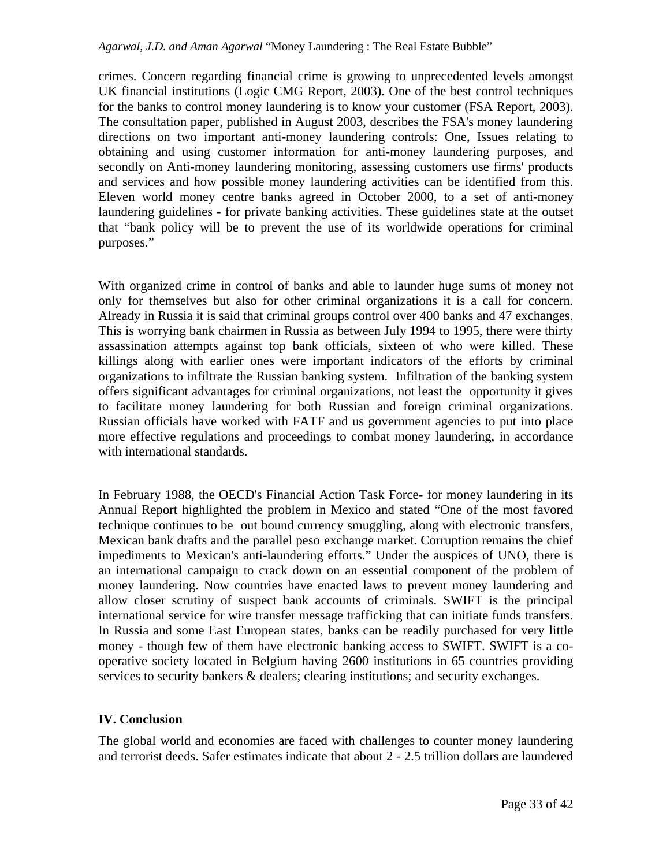crimes. Concern regarding financial crime is growing to unprecedented levels amongst UK financial institutions (Logic CMG Report, 2003). One of the best control techniques for the banks to control money laundering is to know your customer (FSA Report, 2003). The consultation paper, published in August 2003, describes the FSA's money laundering directions on two important anti-money laundering controls: One, Issues relating to obtaining and using customer information for anti-money laundering purposes, and secondly on Anti-money laundering monitoring, assessing customers use firms' products and services and how possible money laundering activities can be identified from this. Eleven world money centre banks agreed in October 2000, to a set of anti-money laundering guidelines - for private banking activities. These guidelines state at the outset that "bank policy will be to prevent the use of its worldwide operations for criminal purposes."

With organized crime in control of banks and able to launder huge sums of money not only for themselves but also for other criminal organizations it is a call for concern. Already in Russia it is said that criminal groups control over 400 banks and 47 exchanges. This is worrying bank chairmen in Russia as between July 1994 to 1995, there were thirty assassination attempts against top bank officials, sixteen of who were killed. These killings along with earlier ones were important indicators of the efforts by criminal organizations to infiltrate the Russian banking system. Infiltration of the banking system offers significant advantages for criminal organizations, not least the opportunity it gives to facilitate money laundering for both Russian and foreign criminal organizations. Russian officials have worked with FATF and us government agencies to put into place more effective regulations and proceedings to combat money laundering, in accordance with international standards.

In February 1988, the OECD's Financial Action Task Force- for money laundering in its Annual Report highlighted the problem in Mexico and stated "One of the most favored technique continues to be out bound currency smuggling, along with electronic transfers, Mexican bank drafts and the parallel peso exchange market. Corruption remains the chief impediments to Mexican's anti-laundering efforts." Under the auspices of UNO, there is an international campaign to crack down on an essential component of the problem of money laundering. Now countries have enacted laws to prevent money laundering and allow closer scrutiny of suspect bank accounts of criminals. SWIFT is the principal international service for wire transfer message trafficking that can initiate funds transfers. In Russia and some East European states, banks can be readily purchased for very little money - though few of them have electronic banking access to SWIFT. SWIFT is a cooperative society located in Belgium having 2600 institutions in 65 countries providing services to security bankers & dealers; clearing institutions; and security exchanges.

## **IV. Conclusion**

The global world and economies are faced with challenges to counter money laundering and terrorist deeds. Safer estimates indicate that about 2 - 2.5 trillion dollars are laundered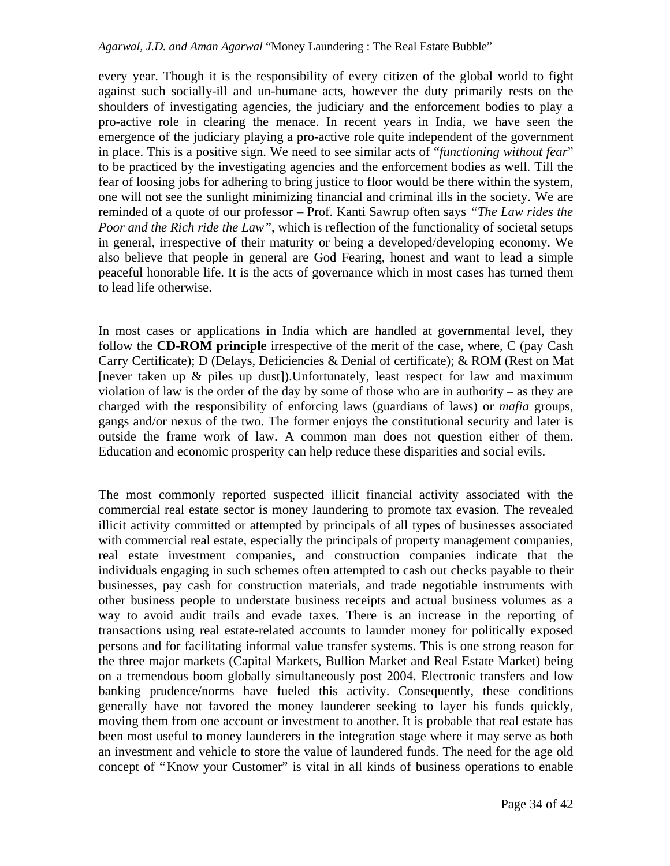every year. Though it is the responsibility of every citizen of the global world to fight against such socially-ill and un-humane acts, however the duty primarily rests on the shoulders of investigating agencies, the judiciary and the enforcement bodies to play a pro-active role in clearing the menace. In recent years in India, we have seen the emergence of the judiciary playing a pro-active role quite independent of the government in place. This is a positive sign. We need to see similar acts of "*functioning without fear*" to be practiced by the investigating agencies and the enforcement bodies as well. Till the fear of loosing jobs for adhering to bring justice to floor would be there within the system, one will not see the sunlight minimizing financial and criminal ills in the society. We are reminded of a quote of our professor – Prof. Kanti Sawrup often says *"The Law rides the Poor and the Rich ride the Law"*, which is reflection of the functionality of societal setups in general, irrespective of their maturity or being a developed/developing economy. We also believe that people in general are God Fearing, honest and want to lead a simple peaceful honorable life. It is the acts of governance which in most cases has turned them to lead life otherwise.

In most cases or applications in India which are handled at governmental level, they follow the **CD-ROM principle** irrespective of the merit of the case, where, C (pay Cash Carry Certificate); D (Delays, Deficiencies & Denial of certificate); & ROM (Rest on Mat [never taken up & piles up dust]).Unfortunately, least respect for law and maximum violation of law is the order of the day by some of those who are in authority – as they are charged with the responsibility of enforcing laws (guardians of laws) or *mafia* groups, gangs and/or nexus of the two. The former enjoys the constitutional security and later is outside the frame work of law. A common man does not question either of them. Education and economic prosperity can help reduce these disparities and social evils.

The most commonly reported suspected illicit financial activity associated with the commercial real estate sector is money laundering to promote tax evasion. The revealed illicit activity committed or attempted by principals of all types of businesses associated with commercial real estate, especially the principals of property management companies, real estate investment companies, and construction companies indicate that the individuals engaging in such schemes often attempted to cash out checks payable to their businesses, pay cash for construction materials, and trade negotiable instruments with other business people to understate business receipts and actual business volumes as a way to avoid audit trails and evade taxes. There is an increase in the reporting of transactions using real estate-related accounts to launder money for politically exposed persons and for facilitating informal value transfer systems. This is one strong reason for the three major markets (Capital Markets, Bullion Market and Real Estate Market) being on a tremendous boom globally simultaneously post 2004. Electronic transfers and low banking prudence/norms have fueled this activity. Consequently, these conditions generally have not favored the money launderer seeking to layer his funds quickly, moving them from one account or investment to another. It is probable that real estate has been most useful to money launderers in the integration stage where it may serve as both an investment and vehicle to store the value of laundered funds. The need for the age old concept of "Know your Customer" is vital in all kinds of business operations to enable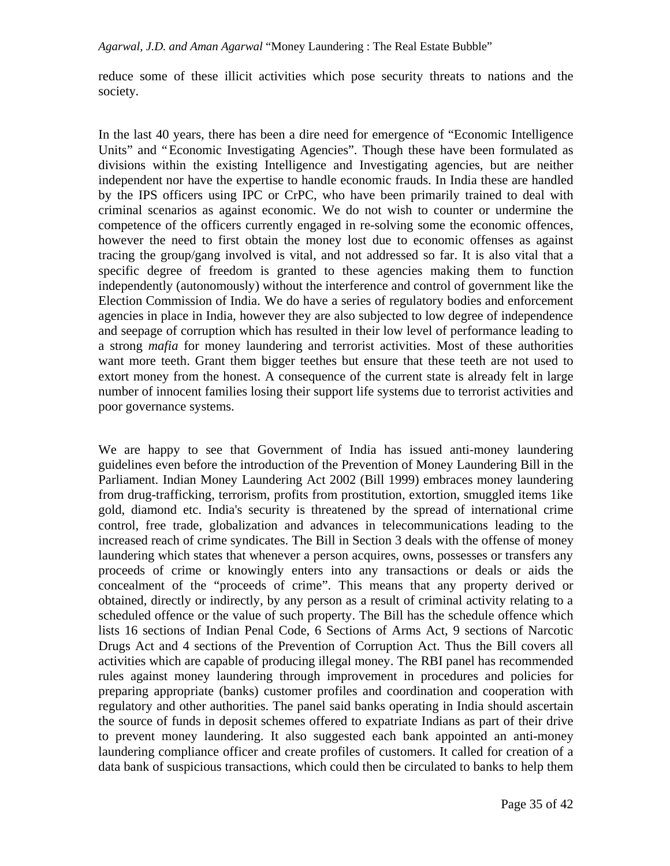reduce some of these illicit activities which pose security threats to nations and the society.

In the last 40 years, there has been a dire need for emergence of "Economic Intelligence Units" and "Economic Investigating Agencies". Though these have been formulated as divisions within the existing Intelligence and Investigating agencies, but are neither independent nor have the expertise to handle economic frauds. In India these are handled by the IPS officers using IPC or CrPC, who have been primarily trained to deal with criminal scenarios as against economic. We do not wish to counter or undermine the competence of the officers currently engaged in re-solving some the economic offences, however the need to first obtain the money lost due to economic offenses as against tracing the group/gang involved is vital, and not addressed so far. It is also vital that a specific degree of freedom is granted to these agencies making them to function independently (autonomously) without the interference and control of government like the Election Commission of India. We do have a series of regulatory bodies and enforcement agencies in place in India, however they are also subjected to low degree of independence and seepage of corruption which has resulted in their low level of performance leading to a strong *mafia* for money laundering and terrorist activities. Most of these authorities want more teeth. Grant them bigger teethes but ensure that these teeth are not used to extort money from the honest. A consequence of the current state is already felt in large number of innocent families losing their support life systems due to terrorist activities and poor governance systems.

We are happy to see that Government of India has issued anti-money laundering guidelines even before the introduction of the Prevention of Money Laundering Bill in the Parliament. Indian Money Laundering Act 2002 (Bill 1999) embraces money laundering from drug-trafficking, terrorism, profits from prostitution, extortion, smuggled items 1ike gold, diamond etc. India's security is threatened by the spread of international crime control, free trade, globalization and advances in telecommunications leading to the increased reach of crime syndicates. The Bill in Section 3 deals with the offense of money laundering which states that whenever a person acquires, owns, possesses or transfers any proceeds of crime or knowingly enters into any transactions or deals or aids the concealment of the "proceeds of crime". This means that any property derived or obtained, directly or indirectly, by any person as a result of criminal activity relating to a scheduled offence or the value of such property. The Bill has the schedule offence which lists 16 sections of Indian Penal Code, 6 Sections of Arms Act, 9 sections of Narcotic Drugs Act and 4 sections of the Prevention of Corruption Act. Thus the Bill covers all activities which are capable of producing illegal money. The RBI panel has recommended rules against money laundering through improvement in procedures and policies for preparing appropriate (banks) customer profiles and coordination and cooperation with regulatory and other authorities. The panel said banks operating in India should ascertain the source of funds in deposit schemes offered to expatriate Indians as part of their drive to prevent money laundering. It also suggested each bank appointed an anti-money laundering compliance officer and create profiles of customers. It called for creation of a data bank of suspicious transactions, which could then be circulated to banks to help them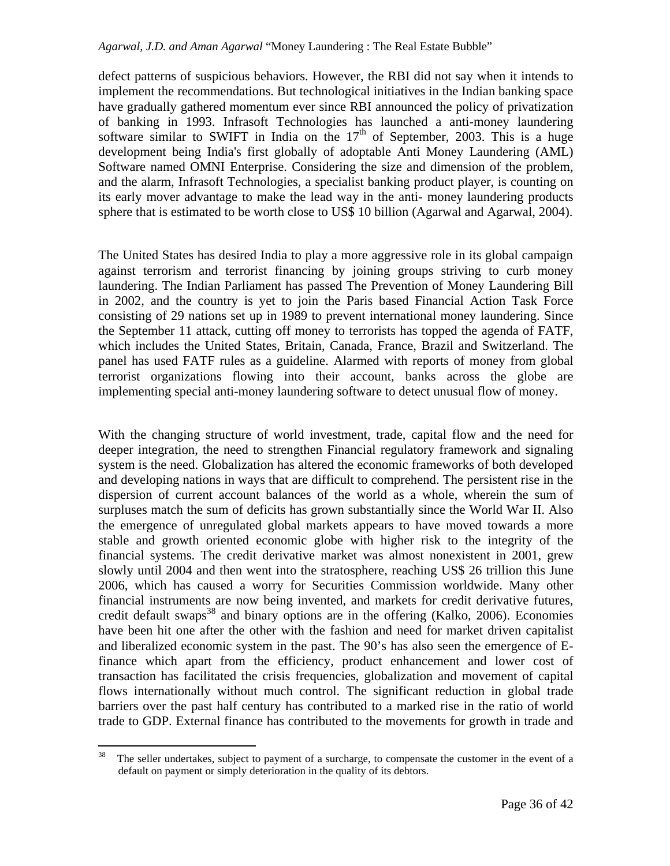defect patterns of suspicious behaviors. However, the RBI did not say when it intends to implement the recommendations. But technological initiatives in the Indian banking space have gradually gathered momentum ever since RBI announced the policy of privatization of banking in 1993. Infrasoft Technologies has launched a anti-money laundering software similar to SWIFT in India on the  $17<sup>th</sup>$  of September, 2003. This is a huge development being India's first globally of adoptable Anti Money Laundering (AML) Software named OMNI Enterprise. Considering the size and dimension of the problem, and the alarm, Infrasoft Technologies, a specialist banking product player, is counting on its early mover advantage to make the lead way in the anti- money laundering products sphere that is estimated to be worth close to US\$ 10 billion (Agarwal and Agarwal, 2004).

The United States has desired India to play a more aggressive role in its global campaign against terrorism and terrorist financing by joining groups striving to curb money laundering. The Indian Parliament has passed The Prevention of Money Laundering Bill in 2002, and the country is yet to join the Paris based Financial Action Task Force consisting of 29 nations set up in 1989 to prevent international money laundering. Since the September 11 attack, cutting off money to terrorists has topped the agenda of FATF, which includes the United States, Britain, Canada, France, Brazil and Switzerland. The panel has used FATF rules as a guideline. Alarmed with reports of money from global terrorist organizations flowing into their account, banks across the globe are implementing special anti-money laundering software to detect unusual flow of money.

With the changing structure of world investment, trade, capital flow and the need for deeper integration, the need to strengthen Financial regulatory framework and signaling system is the need. Globalization has altered the economic frameworks of both developed and developing nations in ways that are difficult to comprehend. The persistent rise in the dispersion of current account balances of the world as a whole, wherein the sum of surpluses match the sum of deficits has grown substantially since the World War II. Also the emergence of unregulated global markets appears to have moved towards a more stable and growth oriented economic globe with higher risk to the integrity of the financial systems. The credit derivative market was almost nonexistent in 2001, grew slowly until 2004 and then went into the stratosphere, reaching US\$ 26 trillion this June 2006, which has caused a worry for Securities Commission worldwide. Many other financial instruments are now being invented, and markets for credit derivative futures, credit default swaps<sup>38</sup> and binary options are in the offering (Kalko, 2006). Economies have been hit one after the other with the fashion and need for market driven capitalist and liberalized economic system in the past. The 90's has also seen the emergence of Efinance which apart from the efficiency, product enhancement and lower cost of transaction has facilitated the crisis frequencies, globalization and movement of capital flows internationally without much control. The significant reduction in global trade barriers over the past half century has contributed to a marked rise in the ratio of world trade to GDP. External finance has contributed to the movements for growth in trade and

<sup>38</sup> The seller undertakes, subject to payment of a surcharge, to compensate the customer in the event of a default on payment or simply deterioration in the quality of its debtors.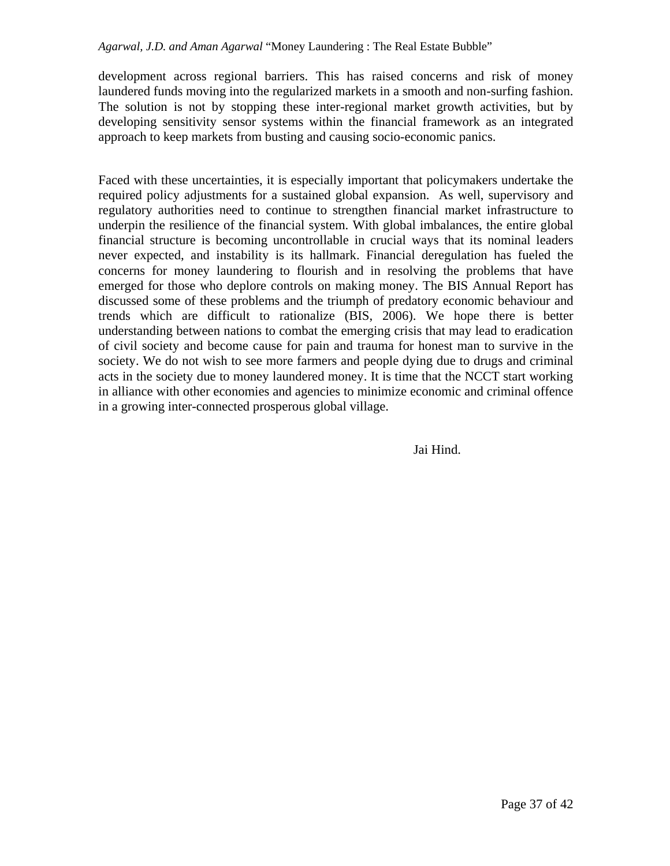development across regional barriers. This has raised concerns and risk of money laundered funds moving into the regularized markets in a smooth and non-surfing fashion. The solution is not by stopping these inter-regional market growth activities, but by developing sensitivity sensor systems within the financial framework as an integrated approach to keep markets from busting and causing socio-economic panics.

Faced with these uncertainties, it is especially important that policymakers undertake the required policy adjustments for a sustained global expansion. As well, supervisory and regulatory authorities need to continue to strengthen financial market infrastructure to underpin the resilience of the financial system. With global imbalances, the entire global financial structure is becoming uncontrollable in crucial ways that its nominal leaders never expected, and instability is its hallmark. Financial deregulation has fueled the concerns for money laundering to flourish and in resolving the problems that have emerged for those who deplore controls on making money. The BIS Annual Report has discussed some of these problems and the triumph of predatory economic behaviour and trends which are difficult to rationalize (BIS, 2006). We hope there is better understanding between nations to combat the emerging crisis that may lead to eradication of civil society and become cause for pain and trauma for honest man to survive in the society. We do not wish to see more farmers and people dying due to drugs and criminal acts in the society due to money laundered money. It is time that the NCCT start working in alliance with other economies and agencies to minimize economic and criminal offence in a growing inter-connected prosperous global village.

Jai Hind.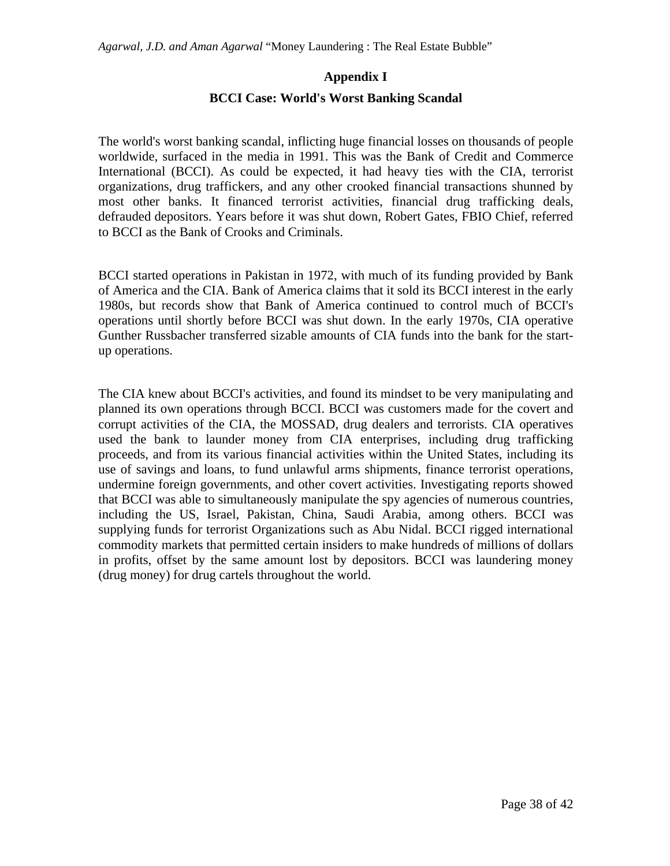### **Appendix I**

#### **BCCI Case: World's Worst Banking Scandal**

The world's worst banking scandal, inflicting huge financial losses on thousands of people worldwide, surfaced in the media in 1991. This was the Bank of Credit and Commerce International (BCCI). As could be expected, it had heavy ties with the CIA, terrorist organizations, drug traffickers, and any other crooked financial transactions shunned by most other banks. It financed terrorist activities, financial drug trafficking deals, defrauded depositors. Years before it was shut down, Robert Gates, FBIO Chief, referred to BCCI as the Bank of Crooks and Criminals.

BCCI started operations in Pakistan in 1972, with much of its funding provided by Bank of America and the CIA. Bank of America claims that it sold its BCCI interest in the early 1980s, but records show that Bank of America continued to control much of BCCI's operations until shortly before BCCI was shut down. In the early 1970s, CIA operative Gunther Russbacher transferred sizable amounts of CIA funds into the bank for the startup operations.

The CIA knew about BCCI's activities, and found its mindset to be very manipulating and planned its own operations through BCCI. BCCI was customers made for the covert and corrupt activities of the CIA, the MOSSAD, drug dealers and terrorists. CIA operatives used the bank to launder money from CIA enterprises, including drug trafficking proceeds, and from its various financial activities within the United States, including its use of savings and loans, to fund unlawful arms shipments, finance terrorist operations, undermine foreign governments, and other covert activities. Investigating reports showed that BCCI was able to simultaneously manipulate the spy agencies of numerous countries, including the US, Israel, Pakistan, China, Saudi Arabia, among others. BCCI was supplying funds for terrorist Organizations such as Abu Nidal. BCCI rigged international commodity markets that permitted certain insiders to make hundreds of millions of dollars in profits, offset by the same amount lost by depositors. BCCI was laundering money (drug money) for drug cartels throughout the world.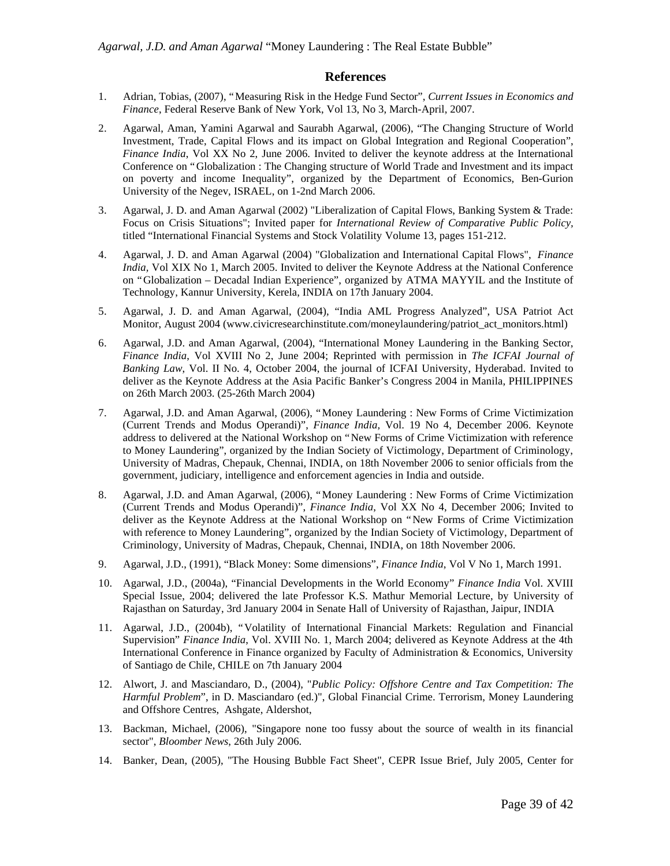#### **References**

- 1. Adrian, Tobias, (2007), "Measuring Risk in the Hedge Fund Sector", *Current Issues in Economics and Finance*, Federal Reserve Bank of New York, Vol 13, No 3, March-April, 2007.
- 2. Agarwal, Aman, Yamini Agarwal and Saurabh Agarwal, (2006), "The Changing Structure of World Investment, Trade, Capital Flows and its impact on Global Integration and Regional Cooperation", *Finance India*, Vol XX No 2, June 2006. Invited to deliver the keynote address at the International Conference on "Globalization : The Changing structure of World Trade and Investment and its impact on poverty and income Inequality", organized by the Department of Economics, Ben-Gurion University of the Negev, ISRAEL, on 1-2nd March 2006.
- 3. Agarwal, J. D. and Aman Agarwal (2002) "Liberalization of Capital Flows, Banking System & Trade: Focus on Crisis Situations"; Invited paper for *International Review of Comparative Public Policy,* titled "International Financial Systems and Stock Volatility Volume 13, pages 151-212.
- 4. Agarwal, J. D. and Aman Agarwal (2004) "Globalization and International Capital Flows", *Finance India,* Vol XIX No 1, March 2005. Invited to deliver the Keynote Address at the National Conference on "Globalization – Decadal Indian Experience", organized by ATMA MAYYIL and the Institute of Technology, Kannur University, Kerela, INDIA on 17th January 2004.
- 5. Agarwal, J. D. and Aman Agarwal, (2004), "India AML Progress Analyzed", USA Patriot Act Monitor, August 2004 (www.civicresearchinstitute.com/moneylaundering/patriot\_act\_monitors.html)
- 6. Agarwal, J.D. and Aman Agarwal, (2004), "International Money Laundering in the Banking Sector, *Finance India*, Vol XVIII No 2, June 2004; Reprinted with permission in *The ICFAI Journal of Banking Law*, Vol. II No. 4, October 2004, the journal of ICFAI University, Hyderabad. Invited to deliver as the Keynote Address at the Asia Pacific Banker's Congress 2004 in Manila, PHILIPPINES on 26th March 2003. (25-26th March 2004)
- 7. Agarwal, J.D. and Aman Agarwal, (2006), "Money Laundering : New Forms of Crime Victimization (Current Trends and Modus Operandi)", *Finance India*, Vol. 19 No 4, December 2006. Keynote address to delivered at the National Workshop on "New Forms of Crime Victimization with reference to Money Laundering", organized by the Indian Society of Victimology, Department of Criminology, University of Madras, Chepauk, Chennai, INDIA, on 18th November 2006 to senior officials from the government, judiciary, intelligence and enforcement agencies in India and outside.
- 8. Agarwal, J.D. and Aman Agarwal, (2006), "Money Laundering : New Forms of Crime Victimization (Current Trends and Modus Operandi)", *Finance India*, Vol XX No 4, December 2006; Invited to deliver as the Keynote Address at the National Workshop on "New Forms of Crime Victimization with reference to Money Laundering", organized by the Indian Society of Victimology, Department of Criminology, University of Madras, Chepauk, Chennai, INDIA, on 18th November 2006.
- 9. Agarwal, J.D., (1991), "Black Money: Some dimensions", *Finance India*, Vol V No 1, March 1991.
- 10. Agarwal, J.D., (2004a), "Financial Developments in the World Economy" *Finance India* Vol. XVIII Special Issue, 2004; delivered the late Professor K.S. Mathur Memorial Lecture, by University of Rajasthan on Saturday, 3rd January 2004 in Senate Hall of University of Rajasthan, Jaipur, INDIA
- 11. Agarwal, J.D., (2004b), "Volatility of International Financial Markets: Regulation and Financial Supervision" *Finance India*, Vol. XVIII No. 1, March 2004; delivered as Keynote Address at the 4th International Conference in Finance organized by Faculty of Administration & Economics, University of Santiago de Chile, CHILE on 7th January 2004
- 12. Alwort, J. and Masciandaro, D., (2004), "*Public Policy: Offshore Centre and Tax Competition: The Harmful Problem*", in D. Masciandaro (ed.)", Global Financial Crime. Terrorism, Money Laundering and Offshore Centres, Ashgate, Aldershot,
- 13. Backman, Michael, (2006), "Singapore none too fussy about the source of wealth in its financial sector", *Bloomber News*, 26th July 2006.
- 14. Banker, Dean, (2005), "The Housing Bubble Fact Sheet", CEPR Issue Brief, July 2005, Center for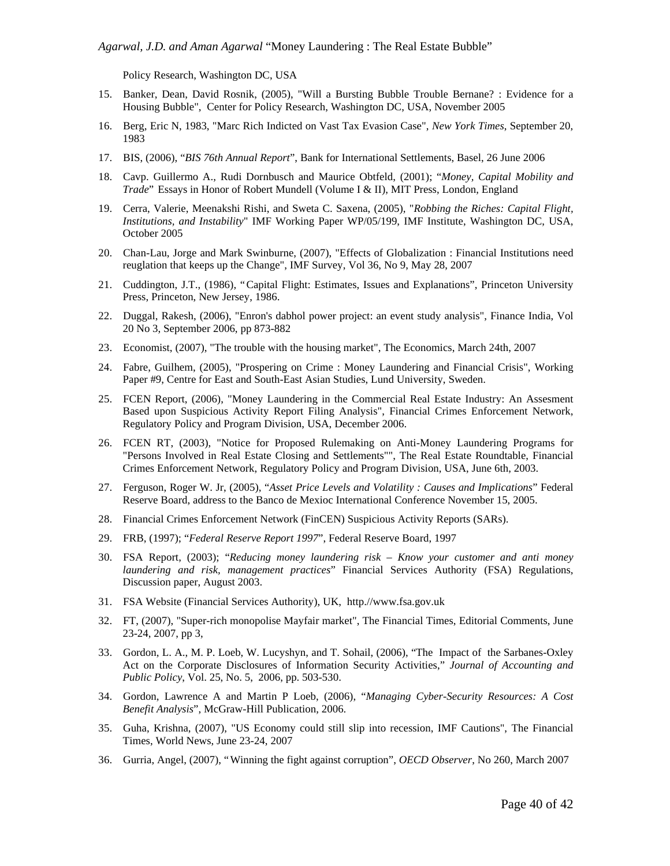Policy Research, Washington DC, USA

- 15. Banker, Dean, David Rosnik, (2005), "Will a Bursting Bubble Trouble Bernane? : Evidence for a Housing Bubble", Center for Policy Research, Washington DC, USA, November 2005
- 16. Berg, Eric N, 1983, "Marc Rich Indicted on Vast Tax Evasion Case", *New York Times*, September 20, 1983
- 17. BIS, (2006), "*BIS 76th Annual Report*", Bank for International Settlements, Basel, 26 June 2006
- 18. Cavp. Guillermo A., Rudi Dornbusch and Maurice Obtfeld, (2001); "*Money, Capital Mobility and Trade*" Essays in Honor of Robert Mundell (Volume I & II), MIT Press, London, England
- 19. Cerra, Valerie, Meenakshi Rishi, and Sweta C. Saxena, (2005), "*Robbing the Riches: Capital Flight, Institutions, and Instability*" IMF Working Paper WP/05/199, IMF Institute, Washington DC, USA, October 2005
- 20. Chan-Lau, Jorge and Mark Swinburne, (2007), "Effects of Globalization : Financial Institutions need reuglation that keeps up the Change", IMF Survey, Vol 36, No 9, May 28, 2007
- 21. Cuddington, J.T., (1986), "Capital Flight: Estimates, Issues and Explanations", Princeton University Press, Princeton, New Jersey, 1986.
- 22. Duggal, Rakesh, (2006), "Enron's dabhol power project: an event study analysis", Finance India, Vol 20 No 3, September 2006, pp 873-882
- 23. Economist, (2007), "The trouble with the housing market", The Economics, March 24th, 2007
- 24. Fabre, Guilhem, (2005), "Prospering on Crime : Money Laundering and Financial Crisis", Working Paper #9, Centre for East and South-East Asian Studies, Lund University, Sweden.
- 25. FCEN Report, (2006), "Money Laundering in the Commercial Real Estate Industry: An Assesment Based upon Suspicious Activity Report Filing Analysis", Financial Crimes Enforcement Network, Regulatory Policy and Program Division, USA, December 2006.
- 26. FCEN RT, (2003), "Notice for Proposed Rulemaking on Anti-Money Laundering Programs for "Persons Involved in Real Estate Closing and Settlements"", The Real Estate Roundtable, Financial Crimes Enforcement Network, Regulatory Policy and Program Division, USA, June 6th, 2003.
- 27. Ferguson, Roger W. Jr, (2005), "*Asset Price Levels and Volatility : Causes and Implications*" Federal Reserve Board, address to the Banco de Mexioc International Conference November 15, 2005.
- 28. Financial Crimes Enforcement Network (FinCEN) Suspicious Activity Reports (SARs).
- 29. FRB, (1997); "*Federal Reserve Report 1997*", Federal Reserve Board, 1997
- 30. FSA Report, (2003); "*Reducing money laundering risk Know your customer and anti money laundering and risk, management practices*" Financial Services Authority (FSA) Regulations, Discussion paper, August 2003.
- 31. FSA Website (Financial Services Authority), UK, http.//www.fsa.gov.uk
- 32. FT, (2007), "Super-rich monopolise Mayfair market", The Financial Times, Editorial Comments, June 23-24, 2007, pp 3,
- 33. Gordon, L. A., M. P. Loeb, W. Lucyshyn, and T. Sohail, (2006), "The Impact of the Sarbanes-Oxley Act on the Corporate Disclosures of Information Security Activities," *Journal of Accounting and Public Policy*, Vol. 25, No. 5, 2006, pp. 503-530.
- 34. Gordon, Lawrence A and Martin P Loeb, (2006), "*Managing Cyber-Security Resources: A Cost Benefit Analysis*", McGraw-Hill Publication, 2006.
- 35. Guha, Krishna, (2007), "US Economy could still slip into recession, IMF Cautions", The Financial Times, World News, June 23-24, 2007
- 36. Gurria, Angel, (2007), "Winning the fight against corruption", *OECD Observer*, No 260, March 2007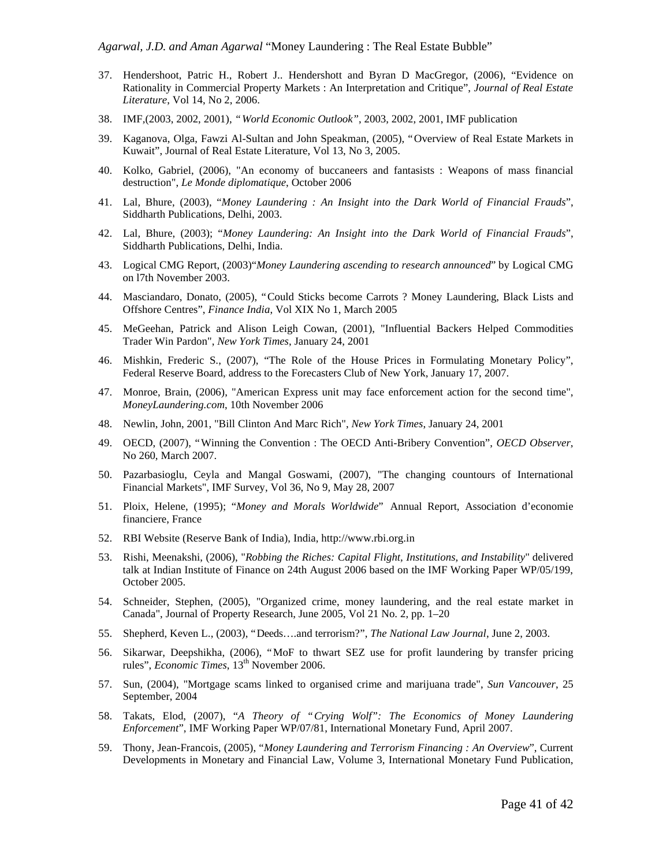- 37. Hendershoot, Patric H., Robert J.. Hendershott and Byran D MacGregor, (2006), "Evidence on Rationality in Commercial Property Markets : An Interpretation and Critique", *Journal of Real Estate Literature*, Vol 14, No 2, 2006.
- 38. IMF*,*(2003, 2002, 2001), *"World Economic Outlook"*, 2003, 2002, 2001, IMF publication
- 39. Kaganova, Olga, Fawzi Al-Sultan and John Speakman, (2005), "Overview of Real Estate Markets in Kuwait", Journal of Real Estate Literature, Vol 13, No 3, 2005.
- 40. Kolko, Gabriel, (2006), "An economy of buccaneers and fantasists : Weapons of mass financial destruction", *Le Monde diplomatique*, October 2006
- 41. Lal, Bhure, (2003), "*Money Laundering : An Insight into the Dark World of Financial Frauds*", Siddharth Publications, Delhi, 2003.
- 42. Lal, Bhure, (2003); "*Money Laundering: An Insight into the Dark World of Financial Frauds*", Siddharth Publications, Delhi, India.
- 43. Logical CMG Report, (2003)"*Money Laundering ascending to research announced*" by Logical CMG on l7th November 2003.
- 44. Masciandaro, Donato, (2005), "Could Sticks become Carrots ? Money Laundering, Black Lists and Offshore Centres", *Finance India*, Vol XIX No 1, March 2005
- 45. MeGeehan, Patrick and Alison Leigh Cowan, (2001), "Influential Backers Helped Commodities Trader Win Pardon", *New York Times*, January 24, 2001
- 46. Mishkin, Frederic S., (2007), "The Role of the House Prices in Formulating Monetary Policy", Federal Reserve Board, address to the Forecasters Club of New York, January 17, 2007.
- 47. Monroe, Brain, (2006), "American Express unit may face enforcement action for the second time", *MoneyLaundering.com*, 10th November 2006
- 48. Newlin, John, 2001, "Bill Clinton And Marc Rich", *New York Times*, January 24, 2001
- 49. OECD, (2007), "Winning the Convention : The OECD Anti-Bribery Convention", *OECD Observer*, No 260, March 2007.
- 50. Pazarbasioglu, Ceyla and Mangal Goswami, (2007), "The changing countours of International Financial Markets", IMF Survey, Vol 36, No 9, May 28, 2007
- 51. Ploix, Helene, (1995); "*Money and Morals Worldwide*" Annual Report, Association d'economie financiere, France
- 52. RBI Website (Reserve Bank of India), India, http://www.rbi.org.in
- 53. Rishi, Meenakshi, (2006), "*Robbing the Riches: Capital Flight, Institutions, and Instability*" delivered talk at Indian Institute of Finance on 24th August 2006 based on the IMF Working Paper WP/05/199, October 2005.
- 54. Schneider, Stephen, (2005), "Organized crime, money laundering, and the real estate market in Canada", Journal of Property Research, June 2005, Vol 21 No. 2, pp. 1–20
- 55. Shepherd, Keven L., (2003), "Deeds… .and terrorism?", *The National Law Journal*, June 2, 2003.
- 56. Sikarwar, Deepshikha, (2006), "MoF to thwart SEZ use for profit laundering by transfer pricing rules", *Economic Times*, 13<sup>th</sup> November 2006.
- 57. Sun, (2004), "Mortgage scams linked to organised crime and marijuana trade", *Sun Vancouver*, 25 September, 2004
- 58. Takats, Elod, (2007), "*A Theory of "Crying Wolf": The Economics of Money Laundering Enforcement*", IMF Working Paper WP/07/81, International Monetary Fund, April 2007.
- 59. Thony, Jean-Francois, (2005), "*Money Laundering and Terrorism Financing : An Overview*", Current Developments in Monetary and Financial Law, Volume 3, International Monetary Fund Publication,